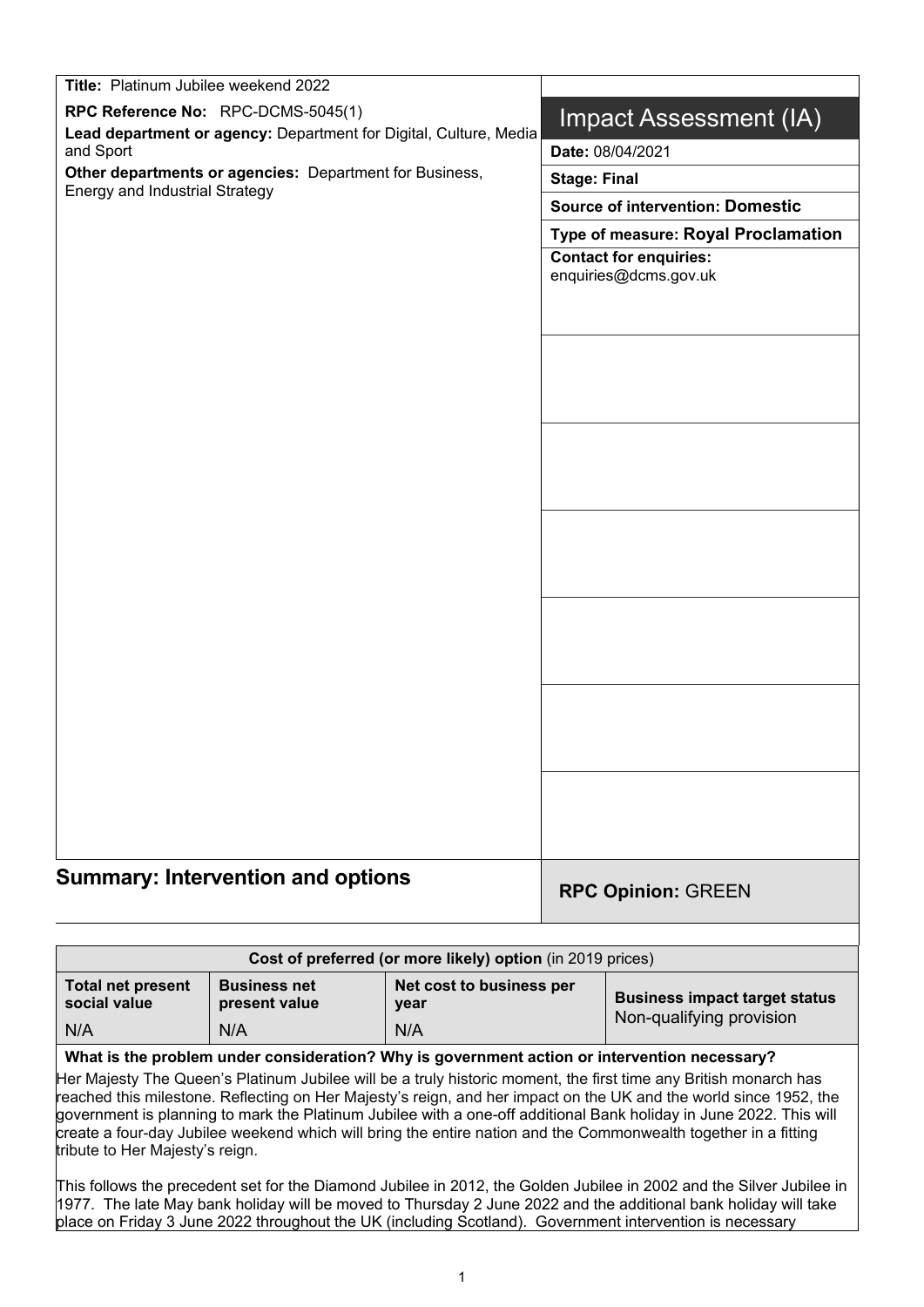| Title: Platinum Jubilee weekend 2022                                 |                                                        |
|----------------------------------------------------------------------|--------------------------------------------------------|
| RPC Reference No: RPC-DCMS-5045(1)                                   | Impact Assessment (IA)                                 |
| Lead department or agency: Department for Digital, Culture, Media    |                                                        |
| and Sport<br>Other departments or agencies: Department for Business, | Date: 08/04/2021                                       |
| Energy and Industrial Strategy                                       | <b>Stage: Final</b>                                    |
|                                                                      | <b>Source of intervention: Domestic</b>                |
|                                                                      | Type of measure: Royal Proclamation                    |
|                                                                      | <b>Contact for enquiries:</b><br>enquiries@dcms.gov.uk |
|                                                                      |                                                        |
|                                                                      |                                                        |
|                                                                      |                                                        |
|                                                                      |                                                        |
|                                                                      |                                                        |
|                                                                      |                                                        |
|                                                                      |                                                        |
|                                                                      |                                                        |
|                                                                      |                                                        |
|                                                                      |                                                        |
|                                                                      |                                                        |
|                                                                      |                                                        |
|                                                                      |                                                        |
|                                                                      |                                                        |
|                                                                      |                                                        |
|                                                                      |                                                        |
|                                                                      |                                                        |
|                                                                      |                                                        |
|                                                                      |                                                        |
|                                                                      |                                                        |
| <b>Summary: Intervention and options</b>                             | <b>RPC Opinion: GREEN</b>                              |

| Cost of preferred (or more likely) option (in 2019 prices) |                                             |                                         |                                                                  |
|------------------------------------------------------------|---------------------------------------------|-----------------------------------------|------------------------------------------------------------------|
| <b>Total net present</b><br>social value<br>N/A            | <b>Business net</b><br>present value<br>N/A | Net cost to business per<br>year<br>N/A | <b>Business impact target status</b><br>Non-qualifying provision |
|                                                            |                                             |                                         |                                                                  |

#### **What is the problem under consideration? Why is government action or intervention necessary?**

Her Majesty The Queen's Platinum Jubilee will be a truly historic moment, the first time any British monarch has reached this milestone. Reflecting on Her Majesty's reign, and her impact on the UK and the world since 1952, the government is planning to mark the Platinum Jubilee with a one-off additional Bank holiday in June 2022. This will create a four-day Jubilee weekend which will bring the entire nation and the Commonwealth together in a fitting tribute to Her Majesty's reign.

This follows the precedent set for the Diamond Jubilee in 2012, the Golden Jubilee in 2002 and the Silver Jubilee in 1977. The late May bank holiday will be moved to Thursday 2 June 2022 and the additional bank holiday will take place on Friday 3 June 2022 throughout the UK (including Scotland). Government intervention is necessary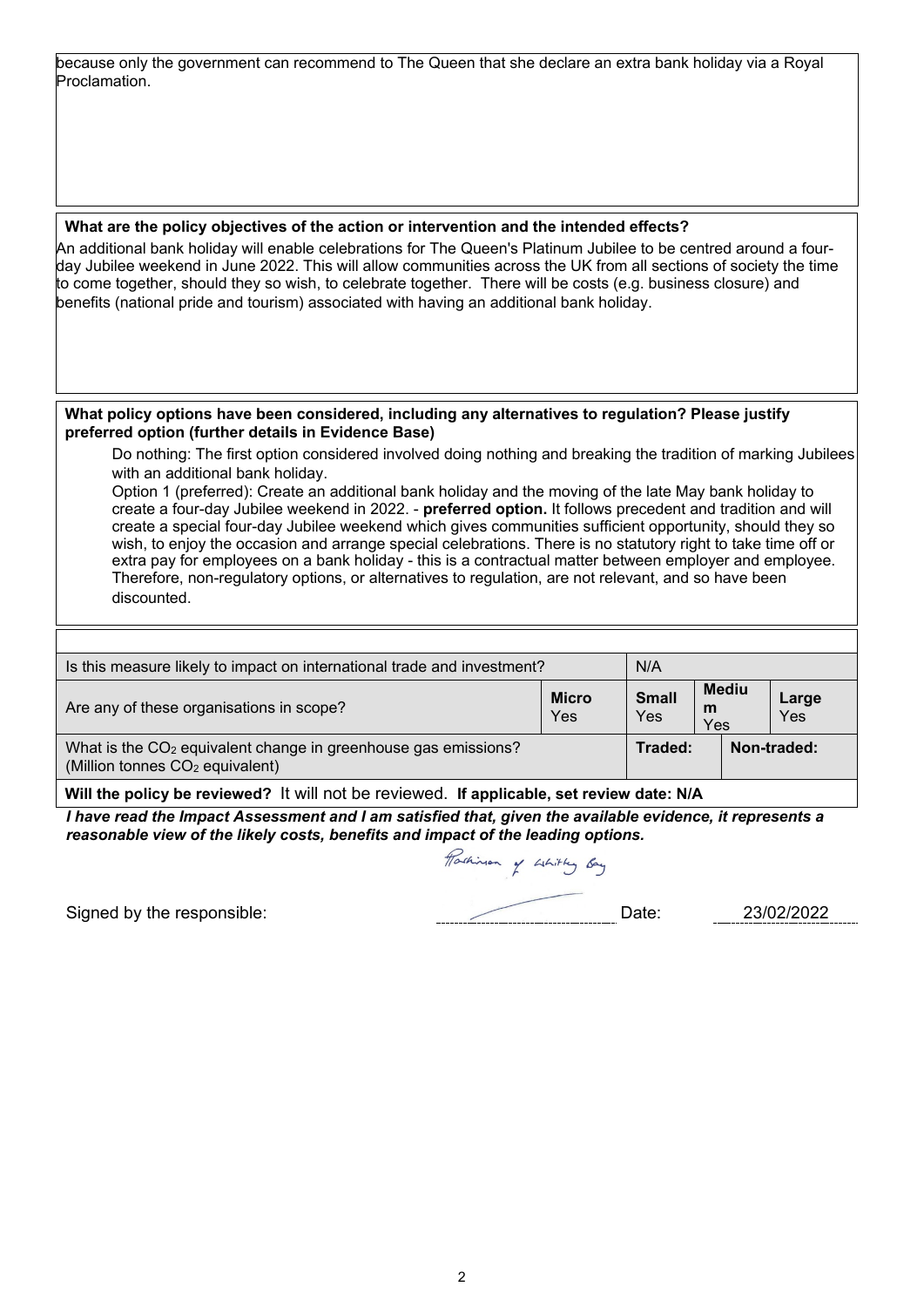because only the government can recommend to The Queen that she declare an extra bank holiday via a Royal Proclamation.

#### **What are the policy objectives of the action or intervention and the intended effects?**

An additional bank holiday will enable celebrations for The Queen's Platinum Jubilee to be centred around a fourday Jubilee weekend in June 2022. This will allow communities across the UK from all sections of society the time to come together, should they so wish, to celebrate together. There will be costs (e.g. business closure) and benefits (national pride and tourism) associated with having an additional bank holiday.

#### **What policy options have been considered, including any alternatives to regulation? Please justify preferred option (further details in Evidence Base)**

Do nothing: The first option considered involved doing nothing and breaking the tradition of marking Jubilees with an additional bank holiday.

Option 1 (preferred): Create an additional bank holiday and the moving of the late May bank holiday to create a four-day Jubilee weekend in 2022. - **preferred option.** It follows precedent and tradition and will create a special four-day Jubilee weekend which gives communities sufficient opportunity, should they so wish, to enjoy the occasion and arrange special celebrations. There is no statutory right to take time off or extra pay for employees on a bank holiday - this is a contractual matter between employer and employee. Therefore, non-regulatory options, or alternatives to regulation, are not relevant, and so have been discounted.

| Is this measure likely to impact on international trade and investment?                                                   |  |                                       |                          |  |  |
|---------------------------------------------------------------------------------------------------------------------------|--|---------------------------------------|--------------------------|--|--|
| <b>Micro</b><br>Are any of these organisations in scope?<br>Yes                                                           |  |                                       |                          |  |  |
| What is the CO <sub>2</sub> equivalent change in greenhouse gas emissions?<br>(Million tonnes CO <sub>2</sub> equivalent) |  |                                       | Non-traded:              |  |  |
|                                                                                                                           |  | N/A<br><b>Small</b><br>Yes<br>Traded: | <b>Mediu</b><br>m<br>Yes |  |  |

**Will the policy be reviewed?** It will not be reviewed. **If applicable, set review date: N/A**

*I have read the Impact Assessment and I am satisfied that, given the available evidence, it represents a reasonable view of the likely costs, benefits and impact of the leading options.*

Pathinson of Whitty Bay

Signed by the responsible:  $D = 23/02/2022$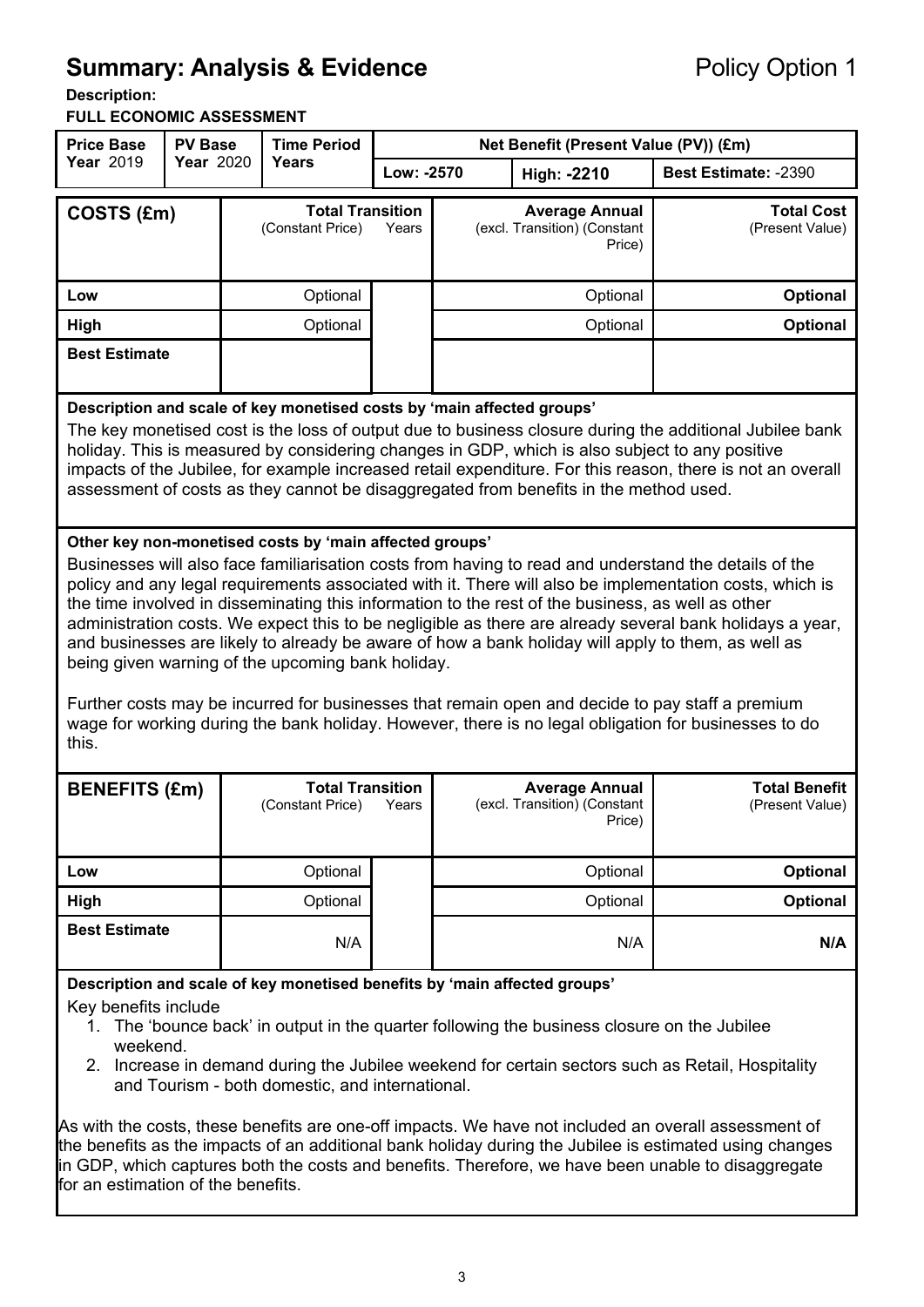# **Summary: Analysis & Evidence Policy Option 1**

#### **Description:**

**FULL ECONOMIC ASSESSMENT**

| <b>Price Base</b>                                                                                                                                                                                                                                                                                                                                                                                                                                                                                                                                                                                                                                                                                                                                                                                                                                                           | <b>PV Base</b> |  | <b>Time Period</b>                                                     |            |                                                                 | Net Benefit (Present Value (PV)) (£m)                                                                                                                                                   |                                                                                                                                                                                                                       |
|-----------------------------------------------------------------------------------------------------------------------------------------------------------------------------------------------------------------------------------------------------------------------------------------------------------------------------------------------------------------------------------------------------------------------------------------------------------------------------------------------------------------------------------------------------------------------------------------------------------------------------------------------------------------------------------------------------------------------------------------------------------------------------------------------------------------------------------------------------------------------------|----------------|--|------------------------------------------------------------------------|------------|-----------------------------------------------------------------|-----------------------------------------------------------------------------------------------------------------------------------------------------------------------------------------|-----------------------------------------------------------------------------------------------------------------------------------------------------------------------------------------------------------------------|
| Year 2019                                                                                                                                                                                                                                                                                                                                                                                                                                                                                                                                                                                                                                                                                                                                                                                                                                                                   | Year 2020      |  | <b>Years</b>                                                           | Low: -2570 |                                                                 | High: -2210                                                                                                                                                                             | Best Estimate: -2390                                                                                                                                                                                                  |
| COSTS (£m)                                                                                                                                                                                                                                                                                                                                                                                                                                                                                                                                                                                                                                                                                                                                                                                                                                                                  |                |  | <b>Total Transition</b><br>(Constant Price)                            | Years      | <b>Average Annual</b><br>(excl. Transition) (Constant<br>Price) |                                                                                                                                                                                         | <b>Total Cost</b><br>(Present Value)                                                                                                                                                                                  |
| Low                                                                                                                                                                                                                                                                                                                                                                                                                                                                                                                                                                                                                                                                                                                                                                                                                                                                         |                |  | Optional                                                               |            |                                                                 | Optional                                                                                                                                                                                | <b>Optional</b>                                                                                                                                                                                                       |
| High                                                                                                                                                                                                                                                                                                                                                                                                                                                                                                                                                                                                                                                                                                                                                                                                                                                                        |                |  | Optional                                                               |            |                                                                 | Optional                                                                                                                                                                                | Optional                                                                                                                                                                                                              |
| <b>Best Estimate</b>                                                                                                                                                                                                                                                                                                                                                                                                                                                                                                                                                                                                                                                                                                                                                                                                                                                        |                |  |                                                                        |            |                                                                 |                                                                                                                                                                                         |                                                                                                                                                                                                                       |
|                                                                                                                                                                                                                                                                                                                                                                                                                                                                                                                                                                                                                                                                                                                                                                                                                                                                             |                |  | Description and scale of key monetised costs by 'main affected groups' |            |                                                                 | holiday. This is measured by considering changes in GDP, which is also subject to any positive<br>assessment of costs as they cannot be disaggregated from benefits in the method used. | The key monetised cost is the loss of output due to business closure during the additional Jubilee bank<br>impacts of the Jubilee, for example increased retail expenditure. For this reason, there is not an overall |
| Other key non-monetised costs by 'main affected groups'<br>Businesses will also face familiarisation costs from having to read and understand the details of the<br>policy and any legal requirements associated with it. There will also be implementation costs, which is<br>the time involved in disseminating this information to the rest of the business, as well as other<br>administration costs. We expect this to be negligible as there are already several bank holidays a year,<br>and businesses are likely to already be aware of how a bank holiday will apply to them, as well as<br>being given warning of the upcoming bank holiday.<br>Further costs may be incurred for businesses that remain open and decide to pay staff a premium<br>wage for working during the bank holiday. However, there is no legal obligation for businesses to do<br>this. |                |  |                                                                        |            |                                                                 |                                                                                                                                                                                         |                                                                                                                                                                                                                       |
| <b>BENEFITS (£m)</b>                                                                                                                                                                                                                                                                                                                                                                                                                                                                                                                                                                                                                                                                                                                                                                                                                                                        |                |  | <b>Total Transition</b><br>(Constant Price)                            | Years      | <b>Average Annual</b><br>(excl. Transition) (Constant<br>Price) |                                                                                                                                                                                         | <b>Total Benefit</b><br>(Present Value)                                                                                                                                                                               |
| Low                                                                                                                                                                                                                                                                                                                                                                                                                                                                                                                                                                                                                                                                                                                                                                                                                                                                         |                |  | Optional                                                               |            |                                                                 | Optional                                                                                                                                                                                | <b>Optional</b>                                                                                                                                                                                                       |
| High                                                                                                                                                                                                                                                                                                                                                                                                                                                                                                                                                                                                                                                                                                                                                                                                                                                                        |                |  | Optional                                                               |            |                                                                 | Optional                                                                                                                                                                                | Optional                                                                                                                                                                                                              |
| <b>Best Estimate</b>                                                                                                                                                                                                                                                                                                                                                                                                                                                                                                                                                                                                                                                                                                                                                                                                                                                        |                |  | N/A                                                                    |            |                                                                 | N/A                                                                                                                                                                                     | N/A                                                                                                                                                                                                                   |
| Description and scale of key monetised benefits by 'main affected groups'<br>Key benefits include<br>1. The 'bounce back' in output in the quarter following the business closure on the Jubilee<br>weekend.<br>2. Increase in demand during the Jubilee weekend for certain sectors such as Retail, Hospitality<br>and Tourism - both domestic, and international.                                                                                                                                                                                                                                                                                                                                                                                                                                                                                                         |                |  |                                                                        |            |                                                                 |                                                                                                                                                                                         |                                                                                                                                                                                                                       |

As with the costs, these benefits are one-off impacts. We have not included an overall assessment of the benefits as the impacts of an additional bank holiday during the Jubilee is estimated using changes in GDP, which captures both the costs and benefits. Therefore, we have been unable to disaggregate for an estimation of the benefits.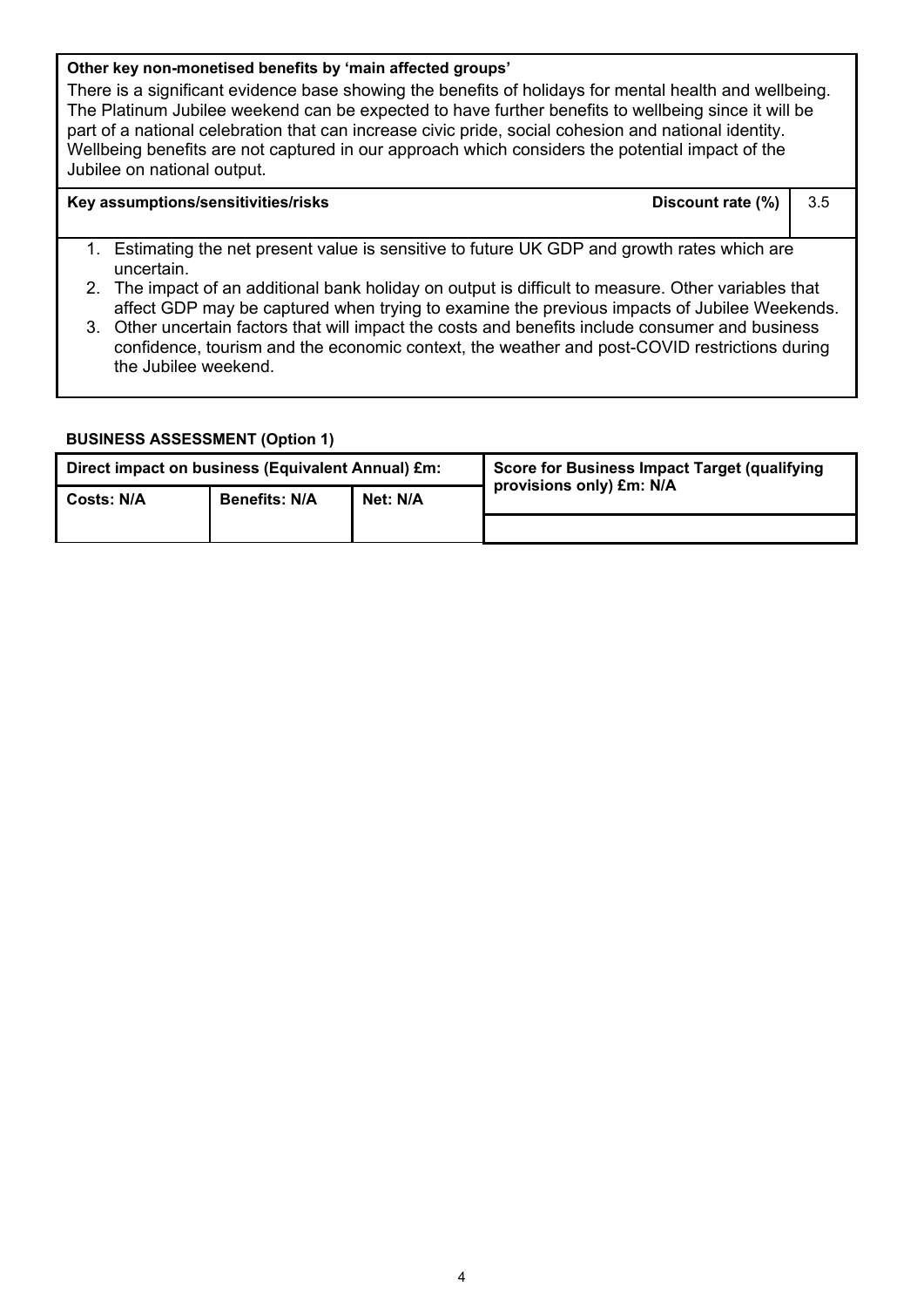#### **Other key non-monetised benefits by 'main affected groups'**

There is a significant evidence base showing the benefits of holidays for mental health and wellbeing. The Platinum Jubilee weekend can be expected to have further benefits to wellbeing since it will be part of a national celebration that can increase civic pride, social cohesion and national identity. Wellbeing benefits are not captured in our approach which considers the potential impact of the Jubilee on national output.

#### **Key assumptions/sensitivities/risks Discount rate (%)** 3.5

- 1. Estimating the net present value is sensitive to future UK GDP and growth rates which are uncertain.
- 2. The impact of an additional bank holiday on output is difficult to measure. Other variables that affect GDP may be captured when trying to examine the previous impacts of Jubilee Weekends.
- 3. Other uncertain factors that will impact the costs and benefits include consumer and business confidence, tourism and the economic context, the weather and post-COVID restrictions during the Jubilee weekend.

#### **BUSINESS ASSESSMENT (Option 1)**

| Direct impact on business (Equivalent Annual) £m: |                                  |  | Score for Business Impact Target (qualifying |
|---------------------------------------------------|----------------------------------|--|----------------------------------------------|
| <b>Costs: N/A</b>                                 | Net: N/A<br><b>Benefits: N/A</b> |  | provisions only) £m: N/A                     |
|                                                   |                                  |  |                                              |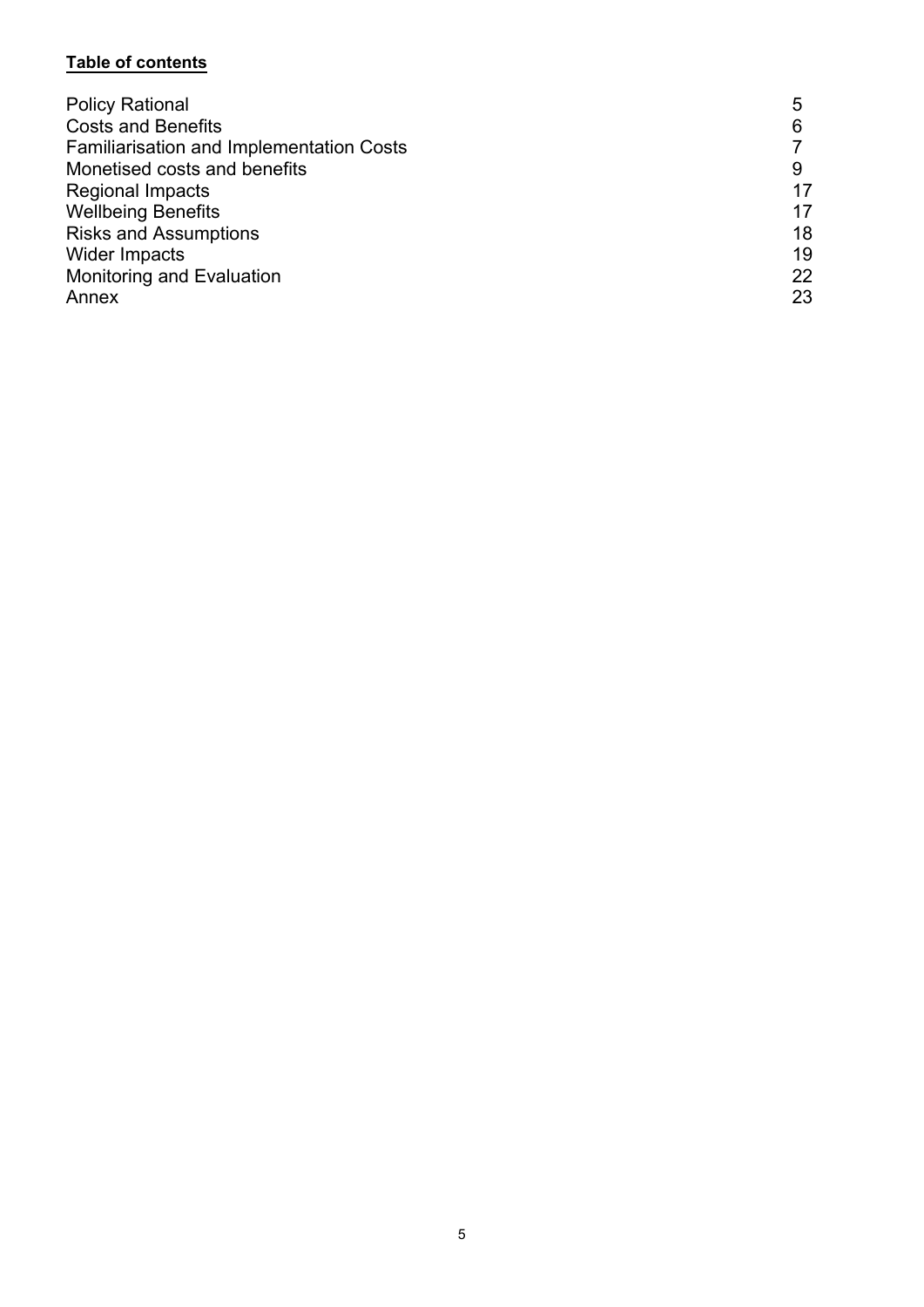# **Table of contents**

| <b>Policy Rational</b>                          | 5  |
|-------------------------------------------------|----|
| <b>Costs and Benefits</b>                       |    |
| <b>Familiarisation and Implementation Costs</b> |    |
| Monetised costs and benefits                    |    |
| <b>Regional Impacts</b>                         | 17 |
| <b>Wellbeing Benefits</b>                       | 17 |
| <b>Risks and Assumptions</b>                    | 18 |
| <b>Wider Impacts</b>                            | 19 |
| <b>Monitoring and Evaluation</b>                | 22 |
| Annex                                           | 23 |
|                                                 |    |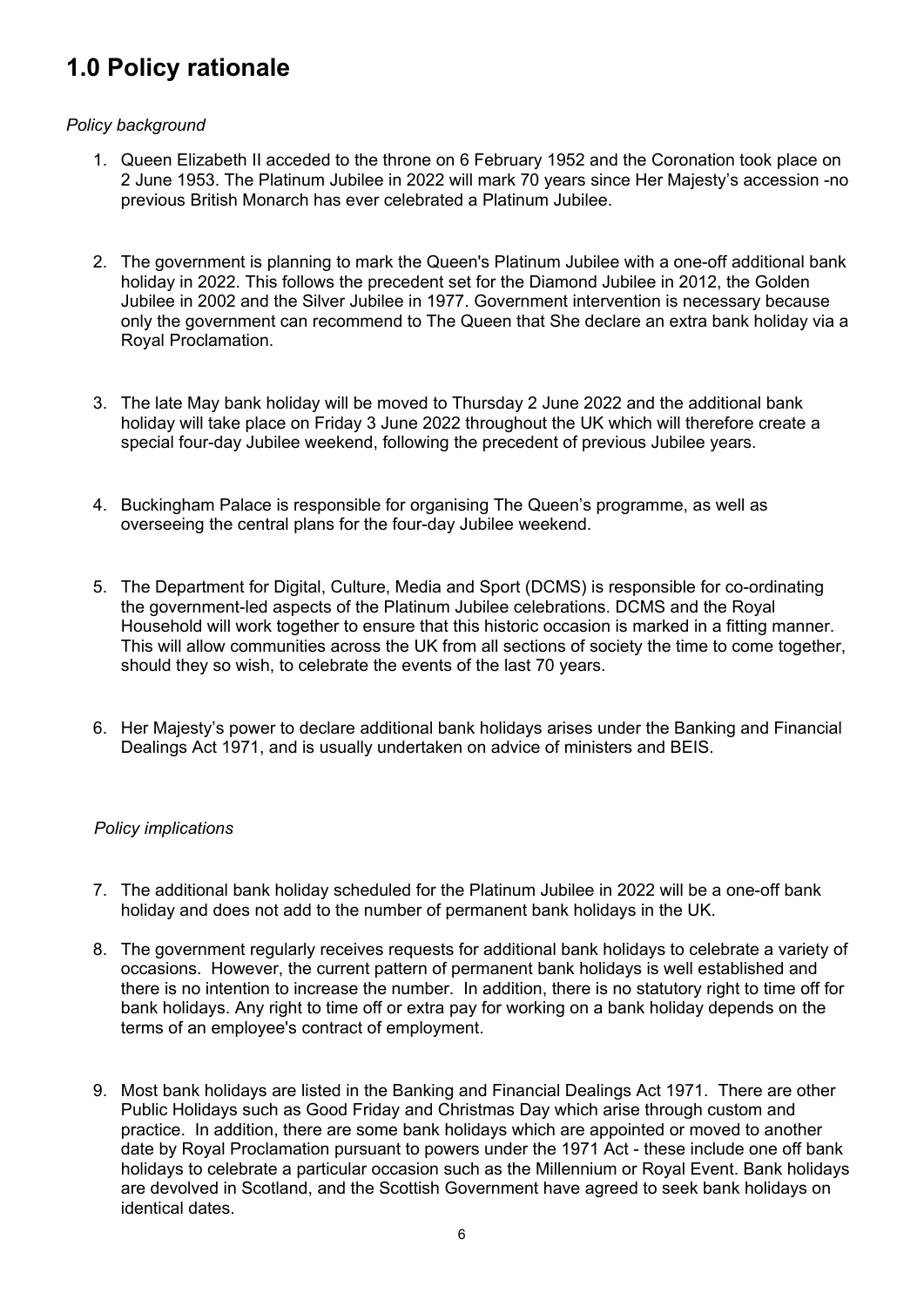# **1.0 Policy rationale**

## *Policy background*

- 1. Queen Elizabeth II acceded to the throne on 6 February 1952 and the Coronation took place on 2 June 1953. The Platinum Jubilee in 2022 will mark 70 years since Her Majesty's accession -no previous British Monarch has ever celebrated a Platinum Jubilee.
- 2. The government is planning to mark the Queen's Platinum Jubilee with a one-off additional bank holiday in 2022. This follows the precedent set for the Diamond Jubilee in 2012, the Golden Jubilee in 2002 and the Silver Jubilee in 1977. Government intervention is necessary because only the government can recommend to The Queen that She declare an extra bank holiday via a Royal Proclamation.
- 3. The late May bank holiday will be moved to Thursday 2 June 2022 and the additional bank holiday will take place on Friday 3 June 2022 throughout the UK which will therefore create a special four-day Jubilee weekend, following the precedent of previous Jubilee years.
- 4. Buckingham Palace is responsible for organising The Queen's programme, as well as overseeing the central plans for the four-day Jubilee weekend.
- 5. The Department for Digital, Culture, Media and Sport (DCMS) is responsible for co-ordinating the government-led aspects of the Platinum Jubilee celebrations. DCMS and the Royal Household will work together to ensure that this historic occasion is marked in a fitting manner. This will allow communities across the UK from all sections of society the time to come together, should they so wish, to celebrate the events of the last 70 years.
- 6. Her Majesty's power to declare additional bank holidays arises under the Banking and Financial Dealings Act 1971, and is usually undertaken on advice of ministers and BEIS.

#### *Policy implications*

- 7. The additional bank holiday scheduled for the Platinum Jubilee in 2022 will be a one-off bank holiday and does not add to the number of permanent bank holidays in the UK.
- 8. The government regularly receives requests for additional bank holidays to celebrate a variety of occasions. However, the current pattern of permanent bank holidays is well established and there is no intention to increase the number. In addition, there is no statutory right to time off for bank holidays. Any right to time off or extra pay for working on a bank holiday depends on the terms of an employee's contract of employment.
- 9. Most bank holidays are listed in the Banking and Financial Dealings Act 1971. There are other Public Holidays such as Good Friday and Christmas Day which arise through custom and practice. In addition, there are some bank holidays which are appointed or moved to another date by Royal Proclamation pursuant to powers under the 1971 Act - these include one off bank holidays to celebrate a particular occasion such as the Millennium or Royal Event. Bank holidays are devolved in Scotland, and the Scottish Government have agreed to seek bank holidays on identical dates.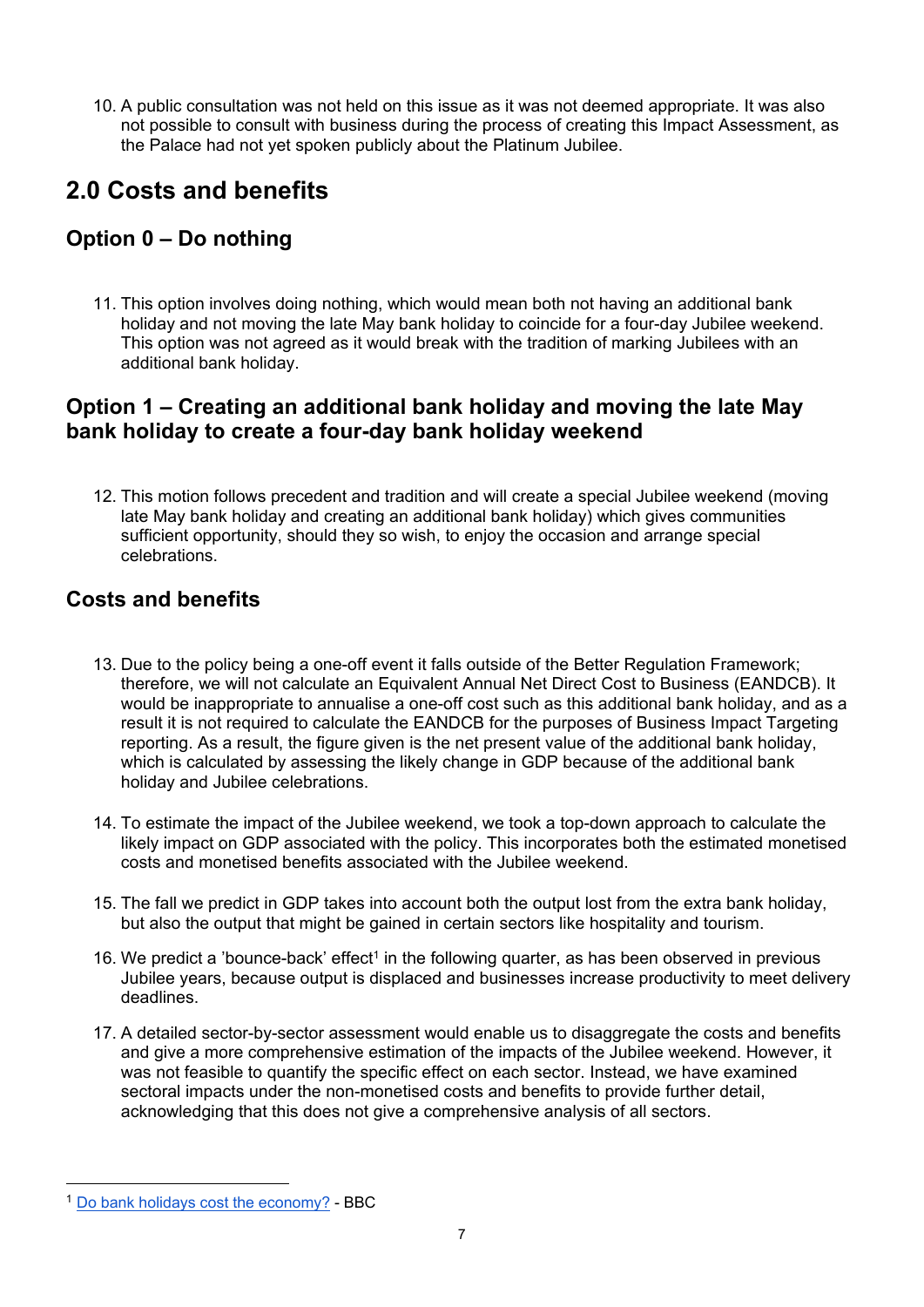10. A public consultation was not held on this issue as it was not deemed appropriate. It was also not possible to consult with business during the process of creating this Impact Assessment, as the Palace had not yet spoken publicly about the Platinum Jubilee.

# **2.0 Costs and benefits**

# **Option 0 – Do nothing**

11. This option involves doing nothing, which would mean both not having an additional bank holiday and not moving the late May bank holiday to coincide for a four-day Jubilee weekend. This option was not agreed as it would break with the tradition of marking Jubilees with an additional bank holiday.

# **Option 1 – Creating an additional bank holiday and moving the late May bank holiday to create a four-day bank holiday weekend**

12. This motion follows precedent and tradition and will create a special Jubilee weekend (moving late May bank holiday and creating an additional bank holiday) which gives communities sufficient opportunity, should they so wish, to enjoy the occasion and arrange special celebrations.

# **Costs and benefits**

- 13. Due to the policy being a one-off event it falls outside of the Better Regulation Framework; therefore, we will not calculate an Equivalent Annual Net Direct Cost to Business (EANDCB). It would be inappropriate to annualise a one-off cost such as this additional bank holiday, and as a result it is not required to calculate the EANDCB for the purposes of Business Impact Targeting reporting. As a result, the figure given is the net present value of the additional bank holiday. which is calculated by assessing the likely change in GDP because of the additional bank holiday and Jubilee celebrations.
- 14. To estimate the impact of the Jubilee weekend, we took a top-down approach to calculate the likely impact on GDP associated with the policy. This incorporates both the estimated monetised costs and monetised benefits associated with the Jubilee weekend.
- 15. The fall we predict in GDP takes into account both the output lost from the extra bank holiday, but also the output that might be gained in certain sectors like hospitality and tourism.
- [1](#page-6-0)6. We predict a 'bounce-back' effect<sup>1</sup> in the following quarter, as has been observed in previous Jubilee years, because output is displaced and businesses increase productivity to meet delivery deadlines.
- 17. A detailed sector-by-sector assessment would enable us to disaggregate the costs and benefits and give a more comprehensive estimation of the impacts of the Jubilee weekend. However, it was not feasible to quantify the specific effect on each sector. Instead, we have examined sectoral impacts under the non-monetised costs and benefits to provide further detail, acknowledging that this does not give a comprehensive analysis of all sectors.

<span id="page-6-0"></span><sup>1</sup> [Do bank holidays cost the economy?](https://www.bbc.co.uk/news/magazine-18277486) - BBC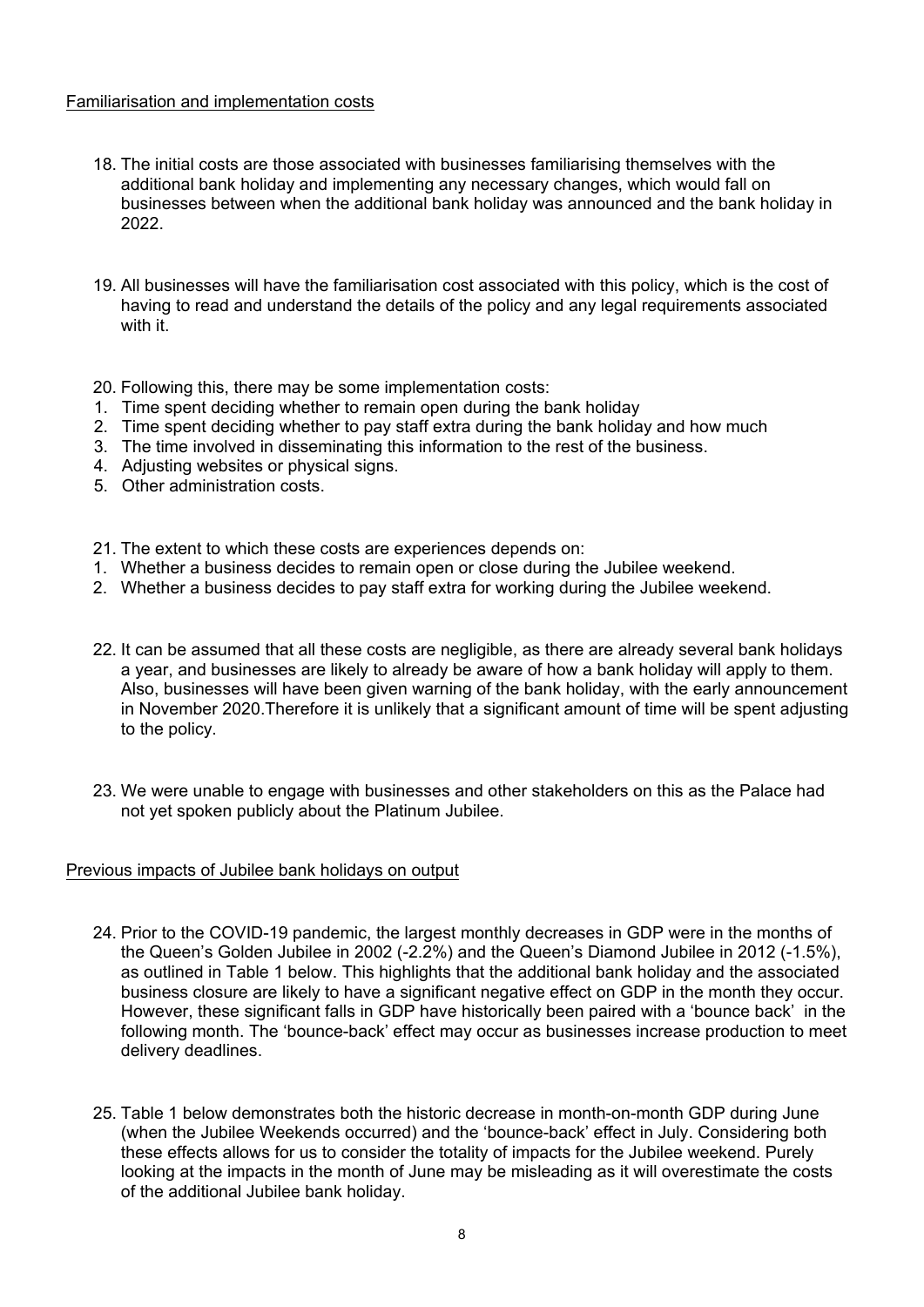#### Familiarisation and implementation costs

- 18. The initial costs are those associated with businesses familiarising themselves with the additional bank holiday and implementing any necessary changes, which would fall on businesses between when the additional bank holiday was announced and the bank holiday in 2022.
- 19. All businesses will have the familiarisation cost associated with this policy, which is the cost of having to read and understand the details of the policy and any legal requirements associated with it.

20. Following this, there may be some implementation costs:

- 1. Time spent deciding whether to remain open during the bank holiday
- 2. Time spent deciding whether to pay staff extra during the bank holiday and how much
- 3. The time involved in disseminating this information to the rest of the business.
- 4. Adjusting websites or physical signs.
- 5. Other administration costs.
- 21. The extent to which these costs are experiences depends on:
- 1. Whether a business decides to remain open or close during the Jubilee weekend.
- 2. Whether a business decides to pay staff extra for working during the Jubilee weekend.
- 22. It can be assumed that all these costs are negligible, as there are already several bank holidays a year, and businesses are likely to already be aware of how a bank holiday will apply to them. Also, businesses will have been given warning of the bank holiday, with the early announcement in November 2020.Therefore it is unlikely that a significant amount of time will be spent adjusting to the policy.
- 23. We were unable to engage with businesses and other stakeholders on this as the Palace had not yet spoken publicly about the Platinum Jubilee.

#### Previous impacts of Jubilee bank holidays on output

- 24. Prior to the COVID-19 pandemic, the largest monthly decreases in GDP were in the months of the Queen's Golden Jubilee in 2002 (-2.2%) and the Queen's Diamond Jubilee in 2012 (-1.5%), as outlined in Table 1 below. This highlights that the additional bank holiday and the associated business closure are likely to have a significant negative effect on GDP in the month they occur. However, these significant falls in GDP have historically been paired with a 'bounce back' in the following month. The 'bounce-back' effect may occur as businesses increase production to meet delivery deadlines.
- 25. Table 1 below demonstrates both the historic decrease in month-on-month GDP during June (when the Jubilee Weekends occurred) and the 'bounce-back' effect in July. Considering both these effects allows for us to consider the totality of impacts for the Jubilee weekend. Purely looking at the impacts in the month of June may be misleading as it will overestimate the costs of the additional Jubilee bank holiday.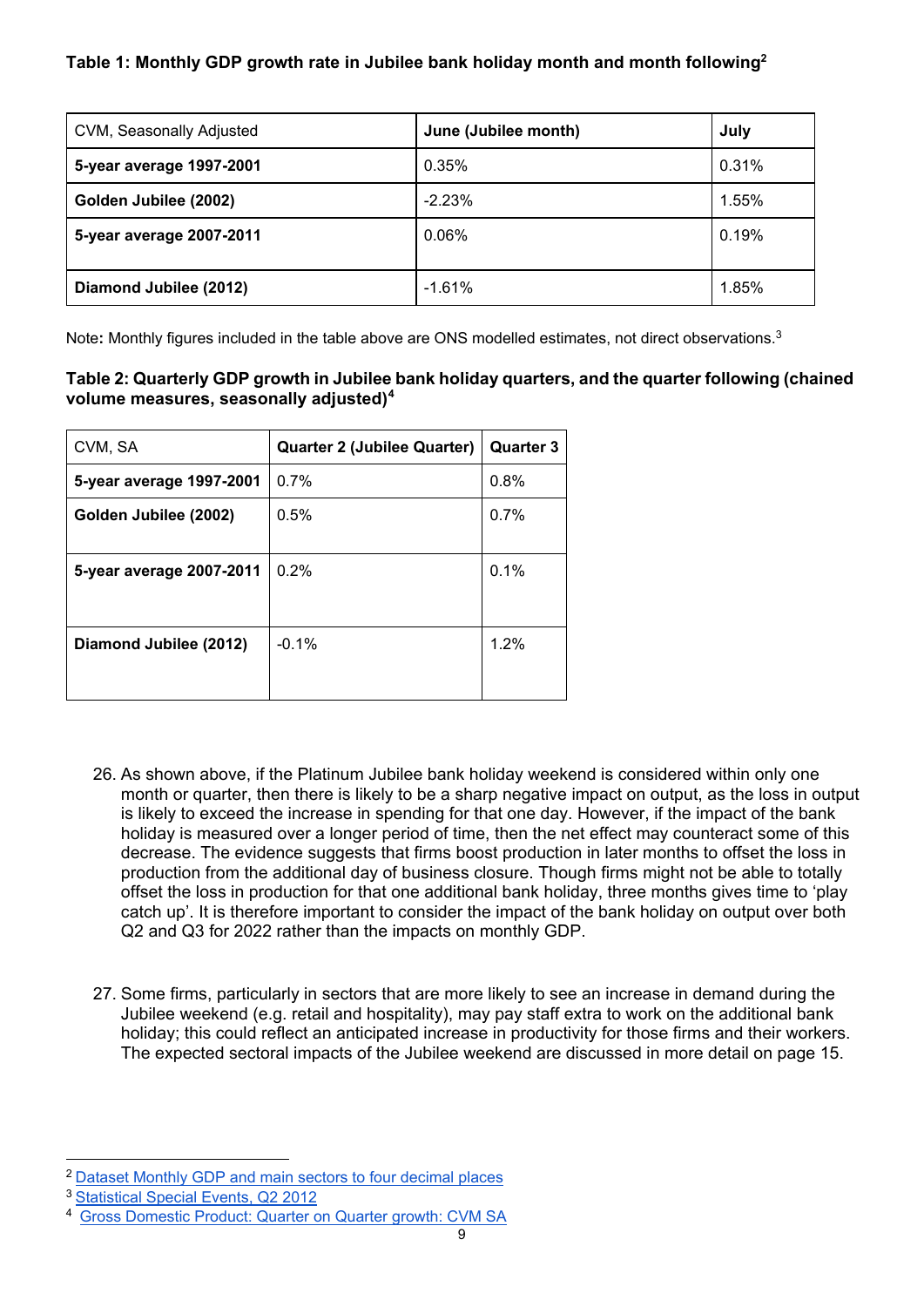# **Table 1: Monthly GDP growth rate in Jubilee bank holiday month and month following[2](#page-8-0)**

| CVM, Seasonally Adjusted | June (Jubilee month) | July  |
|--------------------------|----------------------|-------|
| 5-year average 1997-2001 | 0.35%                | 0.31% |
| Golden Jubilee (2002)    | $-2.23%$             | 1.55% |
| 5-year average 2007-2011 | 0.06%                | 0.19% |
| Diamond Jubilee (2012)   | $-1.61%$             | 1.85% |

Note**:** Monthly figures included in the table above are ONS modelled estimates, not direct observations. [3](#page-8-1)

# **Table 2: Quarterly GDP growth in Jubilee bank holiday quarters, and the quarter following (chained volume measures, seasonally adjusted)[4](#page-8-2)**

| CVM, SA                  | <b>Quarter 2 (Jubilee Quarter)</b> | <b>Quarter 3</b> |
|--------------------------|------------------------------------|------------------|
| 5-year average 1997-2001 | 0.7%                               | 0.8%             |
| Golden Jubilee (2002)    | 0.5%                               | 0.7%             |
| 5-year average 2007-2011 | 0.2%                               | 0.1%             |
| Diamond Jubilee (2012)   | $-0.1%$                            | 1.2%             |

- 26. As shown above, if the Platinum Jubilee bank holiday weekend is considered within only one month or quarter, then there is likely to be a sharp negative impact on output, as the loss in output is likely to exceed the increase in spending for that one day. However, if the impact of the bank holiday is measured over a longer period of time, then the net effect may counteract some of this decrease. The evidence suggests that firms boost production in later months to offset the loss in production from the additional day of business closure. Though firms might not be able to totally offset the loss in production for that one additional bank holiday, three months gives time to 'play catch up'. It is therefore important to consider the impact of the bank holiday on output over both Q2 and Q3 for 2022 rather than the impacts on monthly GDP.
- 27. Some firms, particularly in sectors that are more likely to see an increase in demand during the Jubilee weekend (e.g. retail and hospitality), may pay staff extra to work on the additional bank holiday; this could reflect an anticipated increase in productivity for those firms and their workers. The expected sectoral impacts of the Jubilee weekend are discussed in more detail on page 15.

<span id="page-8-0"></span><sup>2</sup> [Dataset Monthly GDP and main sectors to four decimal places](https://www.ons.gov.uk/economy/grossdomesticproductgdp/datasets/monthlygdpandmainsectorstofourdecimalplaces)

<span id="page-8-1"></span><sup>3</sup> [Statistical Special Events, Q2 2012](https://webarchive.nationalarchives.gov.uk/20160111001046/http:/www.ons.gov.uk/ons/dcp171766_274072.pdf)

<span id="page-8-2"></span><sup>4</sup> [Gross Domestic Product: Quarter on Quarter growth: CVM SA](https://www.ons.gov.uk/economy/grossdomesticproductgdp/timeseries/ihyq/qna)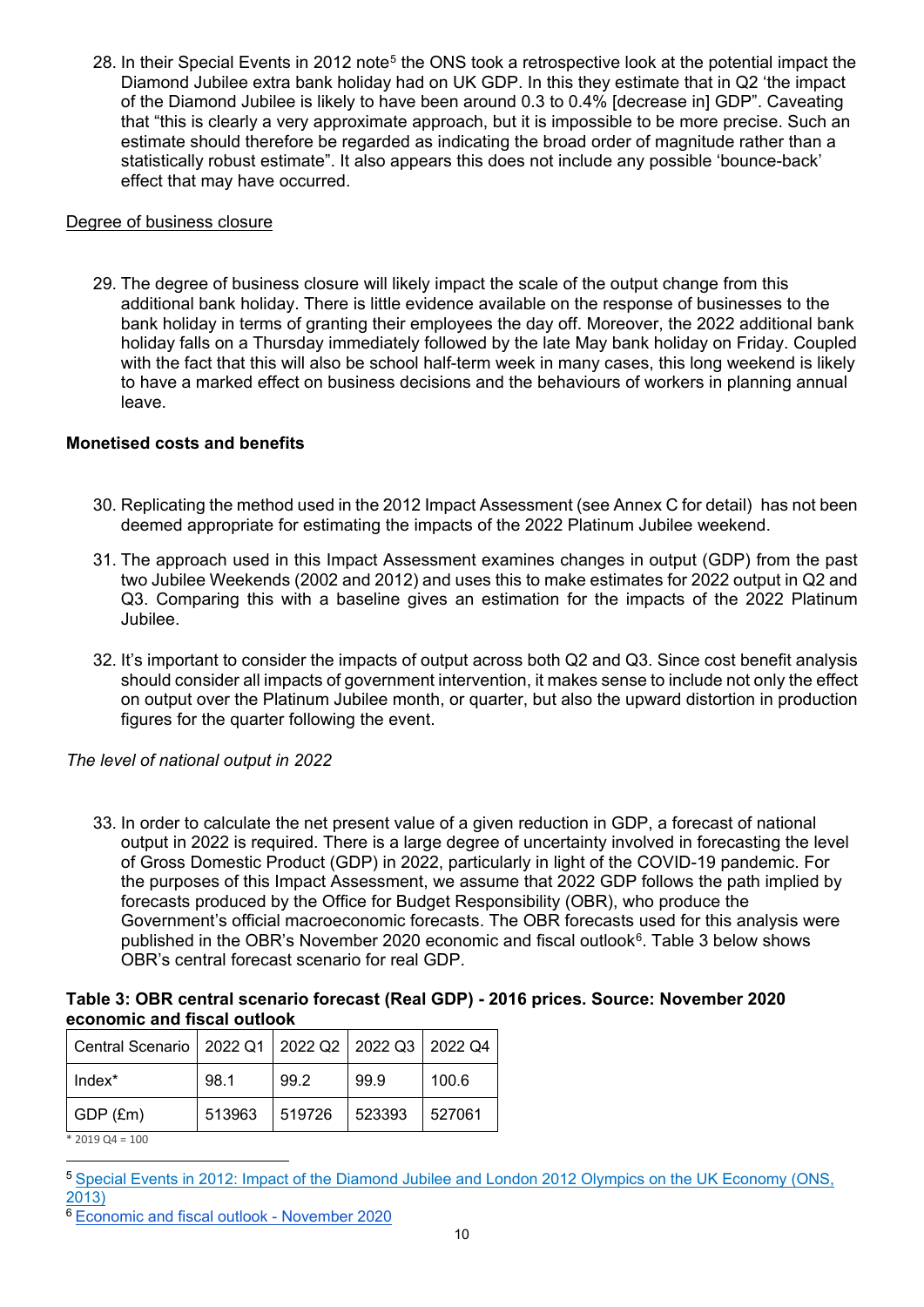28. In their Special Events in 2012 note<sup>[5](#page-9-0)</sup> the ONS took a retrospective look at the potential impact the Diamond Jubilee extra bank holiday had on UK GDP. In this they estimate that in Q2 'the impact of the Diamond Jubilee is likely to have been around 0.3 to 0.4% [decrease in] GDP". Caveating that "this is clearly a very approximate approach, but it is impossible to be more precise. Such an estimate should therefore be regarded as indicating the broad order of magnitude rather than a statistically robust estimate". It also appears this does not include any possible 'bounce-back' effect that may have occurred.

#### Degree of business closure

29. The degree of business closure will likely impact the scale of the output change from this additional bank holiday. There is little evidence available on the response of businesses to the bank holiday in terms of granting their employees the day off. Moreover, the 2022 additional bank holiday falls on a Thursday immediately followed by the late May bank holiday on Friday. Coupled with the fact that this will also be school half-term week in many cases, this long weekend is likely to have a marked effect on business decisions and the behaviours of workers in planning annual leave.

# **Monetised costs and benefits**

- 30. Replicating the method used in the 2012 Impact Assessment (see Annex C for detail) has not been deemed appropriate for estimating the impacts of the 2022 Platinum Jubilee weekend.
- 31. The approach used in this Impact Assessment examines changes in output (GDP) from the past two Jubilee Weekends (2002 and 2012) and uses this to make estimates for 2022 output in Q2 and Q3. Comparing this with a baseline gives an estimation for the impacts of the 2022 Platinum Jubilee.
- 32. It's important to consider the impacts of output across both Q2 and Q3. Since cost benefit analysis should consider all impacts of government intervention, it makes sense to include not only the effect on output over the Platinum Jubilee month, or quarter, but also the upward distortion in production figures for the quarter following the event.

# *The level of national output in 2022*

33. In order to calculate the net present value of a given reduction in GDP, a forecast of national output in 2022 is required. There is a large degree of uncertainty involved in forecasting the level of Gross Domestic Product (GDP) in 2022, particularly in light of the COVID-19 pandemic. For the purposes of this Impact Assessment, we assume that 2022 GDP follows the path implied by forecasts produced by the Office for Budget Responsibility (OBR), who produce the Government's official macroeconomic forecasts. The OBR forecasts used for this analysis were published in the OBR's November 2020 economic and fiscal outlook<sup>[6](#page-9-1)</sup>. Table 3 below shows OBR's central forecast scenario for real GDP.

## **Table 3: OBR central scenario forecast (Real GDP) - 2016 prices. Source: November 2020 economic and fiscal outlook**

| Central Scenario   2022 Q1   2022 Q2   2022 Q3   2022 Q4 |        |        |        |        |
|----------------------------------------------------------|--------|--------|--------|--------|
| $Index^*$                                                | 98.1   | 99.2   | 99.9   | 100.6  |
| $GDP$ (£m)                                               | 513963 | 519726 | 523393 | 527061 |
| $*$ 2019 Q4 = 100                                        |        |        |        |        |

<span id="page-9-0"></span><sup>5</sup> [Special Events in 2012: Impact of the Diamond Jubilee and London 2012 Olympics on the UK Economy \(ONS,](https://webarchive.nationalarchives.gov.uk/20160105214928/http:/www.ons.gov.uk/ons/rel/elmr/the-impact-of-previous-special-events-on-economic-time-series/the-diamond-jubilee-and-the-london-2012-olympics/art-jubileeolympics.html)  [2013\)](https://webarchive.nationalarchives.gov.uk/20160105214928/http:/www.ons.gov.uk/ons/rel/elmr/the-impact-of-previous-special-events-on-economic-time-series/the-diamond-jubilee-and-the-london-2012-olympics/art-jubileeolympics.html)

<span id="page-9-1"></span><sup>6</sup> [Economic and fiscal outlook - November 2020](http://cdn.obr.uk/CCS1020397650-001_OBR-November2020-EFO-v2-Web-accessible.pdf)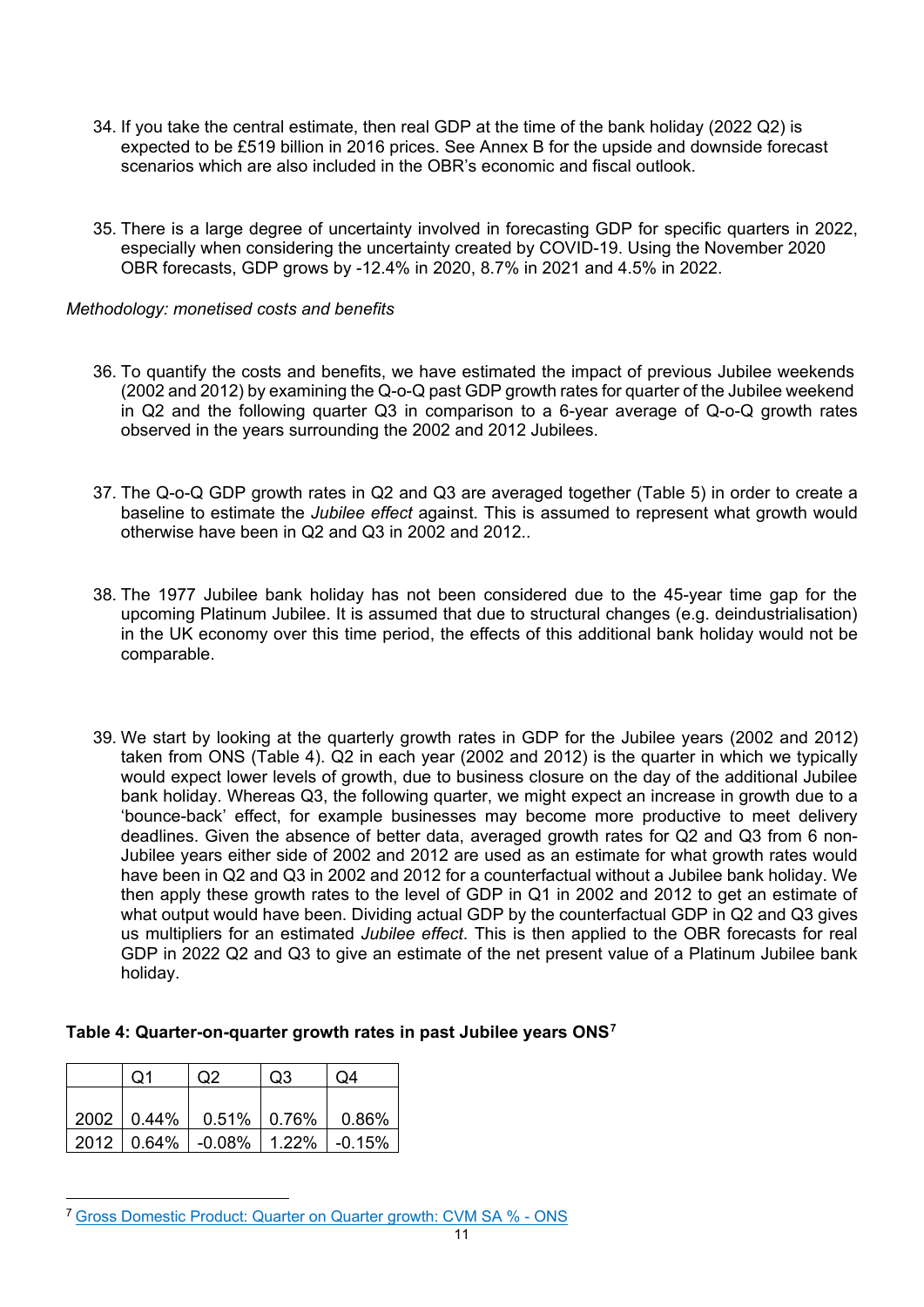- 34. If you take the central estimate, then real GDP at the time of the bank holiday (2022 Q2) is expected to be £519 billion in 2016 prices. See Annex B for the upside and downside forecast scenarios which are also included in the OBR's economic and fiscal outlook.
- 35. There is a large degree of uncertainty involved in forecasting GDP for specific quarters in 2022, especially when considering the uncertainty created by COVID-19. Using the November 2020 OBR forecasts, GDP grows by -12.4% in 2020, 8.7% in 2021 and 4.5% in 2022.

#### *Methodology: monetised costs and benefits*

- 36. To quantify the costs and benefits, we have estimated the impact of previous Jubilee weekends (2002 and 2012) by examining the Q-o-Q past GDP growth rates for quarter of the Jubilee weekend in Q2 and the following quarter Q3 in comparison to a 6-year average of Q-o-Q growth rates observed in the years surrounding the 2002 and 2012 Jubilees.
- 37. The Q-o-Q GDP growth rates in Q2 and Q3 are averaged together (Table 5) in order to create a baseline to estimate the *Jubilee effect* against. This is assumed to represent what growth would otherwise have been in Q2 and Q3 in 2002 and 2012..
- 38. The 1977 Jubilee bank holiday has not been considered due to the 45-year time gap for the upcoming Platinum Jubilee. It is assumed that due to structural changes (e.g. deindustrialisation) in the UK economy over this time period, the effects of this additional bank holiday would not be comparable.
- 39. We start by looking at the quarterly growth rates in GDP for the Jubilee years (2002 and 2012) taken from ONS (Table 4). Q2 in each year (2002 and 2012) is the quarter in which we typically would expect lower levels of growth, due to business closure on the day of the additional Jubilee bank holiday. Whereas Q3, the following quarter, we might expect an increase in growth due to a 'bounce-back' effect, for example businesses may become more productive to meet delivery deadlines. Given the absence of better data, averaged growth rates for Q2 and Q3 from 6 non-Jubilee years either side of 2002 and 2012 are used as an estimate for what growth rates would have been in Q2 and Q3 in 2002 and 2012 for a counterfactual without a Jubilee bank holiday. We then apply these growth rates to the level of GDP in Q1 in 2002 and 2012 to get an estimate of what output would have been. Dividing actual GDP by the counterfactual GDP in Q2 and Q3 gives us multipliers for an estimated *Jubilee effect*. This is then applied to the OBR forecasts for real GDP in 2022 Q2 and Q3 to give an estimate of the net present value of a Platinum Jubilee bank holiday.

#### **Table 4: Quarter-on-quarter growth rates in past Jubilee years ONS[7](#page-10-0)**

| $\Omega$ 1 | O <sub>2</sub>                         | O <sub>3</sub> | Q4    |
|------------|----------------------------------------|----------------|-------|
|            |                                        |                |       |
|            | 2002   0.44%   0.51%   0.76%           |                | 0.86% |
|            | 2012   0.64%   -0.08%   1.22%   -0.15% |                |       |

<span id="page-10-0"></span><sup>7</sup> [Gross Domestic Product: Quarter on Quarter growth: CVM SA % - ONS](https://www.ons.gov.uk/economy/grossdomesticproductgdp/timeseries/ihyq/pn2)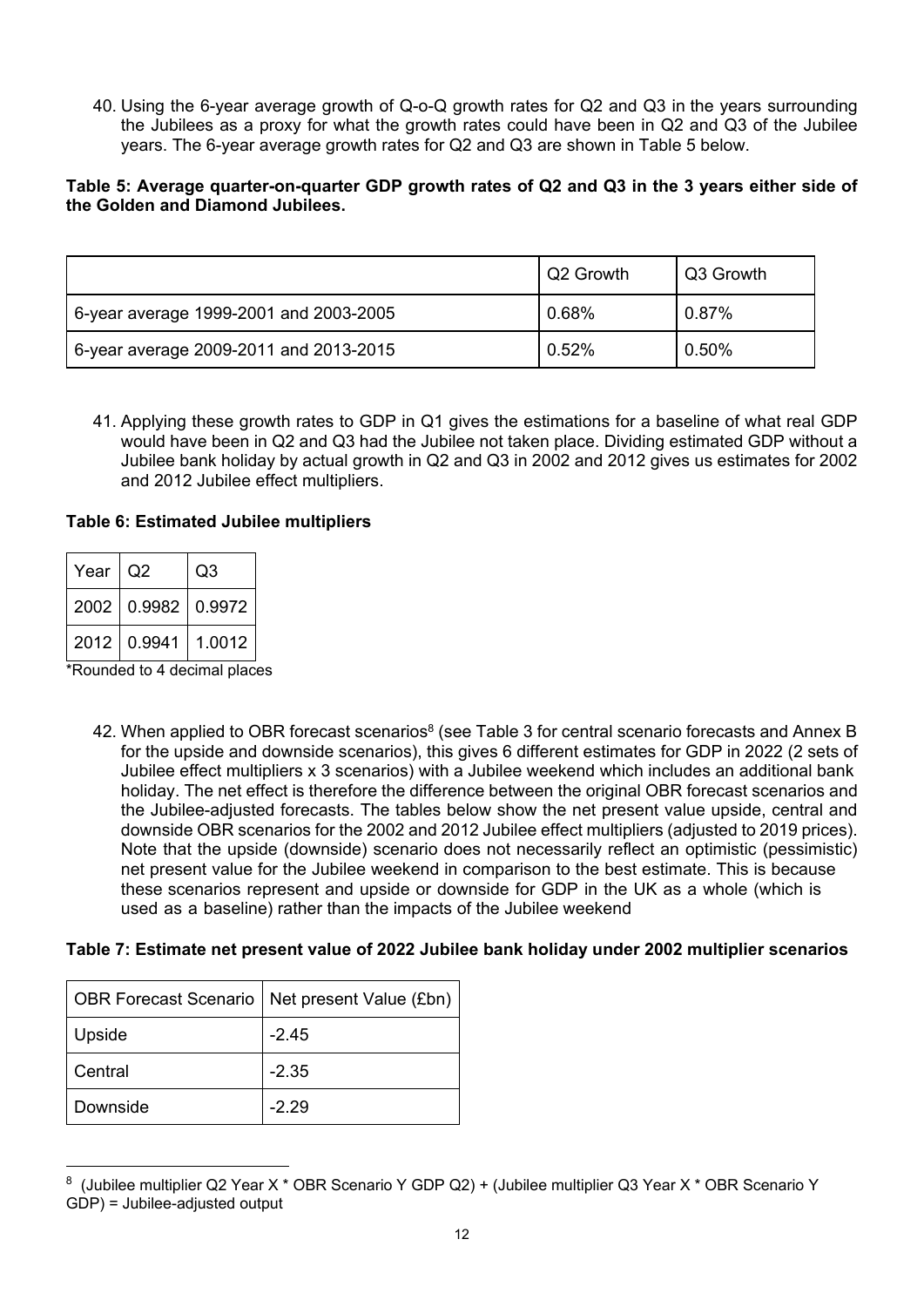40. Using the 6-year average growth of Q-o-Q growth rates for Q2 and Q3 in the years surrounding the Jubilees as a proxy for what the growth rates could have been in Q2 and Q3 of the Jubilee years. The 6-year average growth rates for Q2 and Q3 are shown in Table 5 below.

### **Table 5: Average quarter-on-quarter GDP growth rates of Q2 and Q3 in the 3 years either side of the Golden and Diamond Jubilees.**

|                                        | Q2 Growth | Q3 Growth |
|----------------------------------------|-----------|-----------|
| 6-year average 1999-2001 and 2003-2005 | 0.68%     | 0.87%     |
| 6-year average 2009-2011 and 2013-2015 | 0.52%     | 0.50%     |

41. Applying these growth rates to GDP in Q1 gives the estimations for a baseline of what real GDP would have been in Q2 and Q3 had the Jubilee not taken place. Dividing estimated GDP without a Jubilee bank holiday by actual growth in Q2 and Q3 in 2002 and 2012 gives us estimates for 2002 and 2012 Jubilee effect multipliers.

#### **Table 6: Estimated Jubilee multipliers**

| Year I Q2 |                    | Q3     |
|-----------|--------------------|--------|
|           | 2002 0.9982 0.9972 |        |
|           | 2012 0.9941        | 1.0012 |

\*Rounded to 4 decimal places

42. When applied to OBR forecast scenarios $^8$  $^8$  (see Table 3 for central scenario forecasts and Annex B for the upside and downside scenarios), this gives 6 different estimates for GDP in 2022 (2 sets of Jubilee effect multipliers x 3 scenarios) with a Jubilee weekend which includes an additional bank holiday. The net effect is therefore the difference between the original OBR forecast scenarios and the Jubilee-adjusted forecasts. The tables below show the net present value upside, central and downside OBR scenarios for the 2002 and 2012 Jubilee effect multipliers (adjusted to 2019 prices). Note that the upside (downside) scenario does not necessarily reflect an optimistic (pessimistic) net present value for the Jubilee weekend in comparison to the best estimate. This is because these scenarios represent and upside or downside for GDP in the UK as a whole (which is used as a baseline) rather than the impacts of the Jubilee weekend

#### **Table 7: Estimate net present value of 2022 Jubilee bank holiday under 2002 multiplier scenarios**

| <b>OBR Forecast Scenario</b> | Net present Value (£bn) |
|------------------------------|-------------------------|
| Upside                       | $-2.45$                 |
| Central                      | $-2.35$                 |
| Downside                     | $-2.29$                 |

<span id="page-11-0"></span><sup>8</sup> (Jubilee multiplier Q2 Year X \* OBR Scenario Y GDP Q2) + (Jubilee multiplier Q3 Year X \* OBR Scenario Y GDP) = Jubilee-adjusted output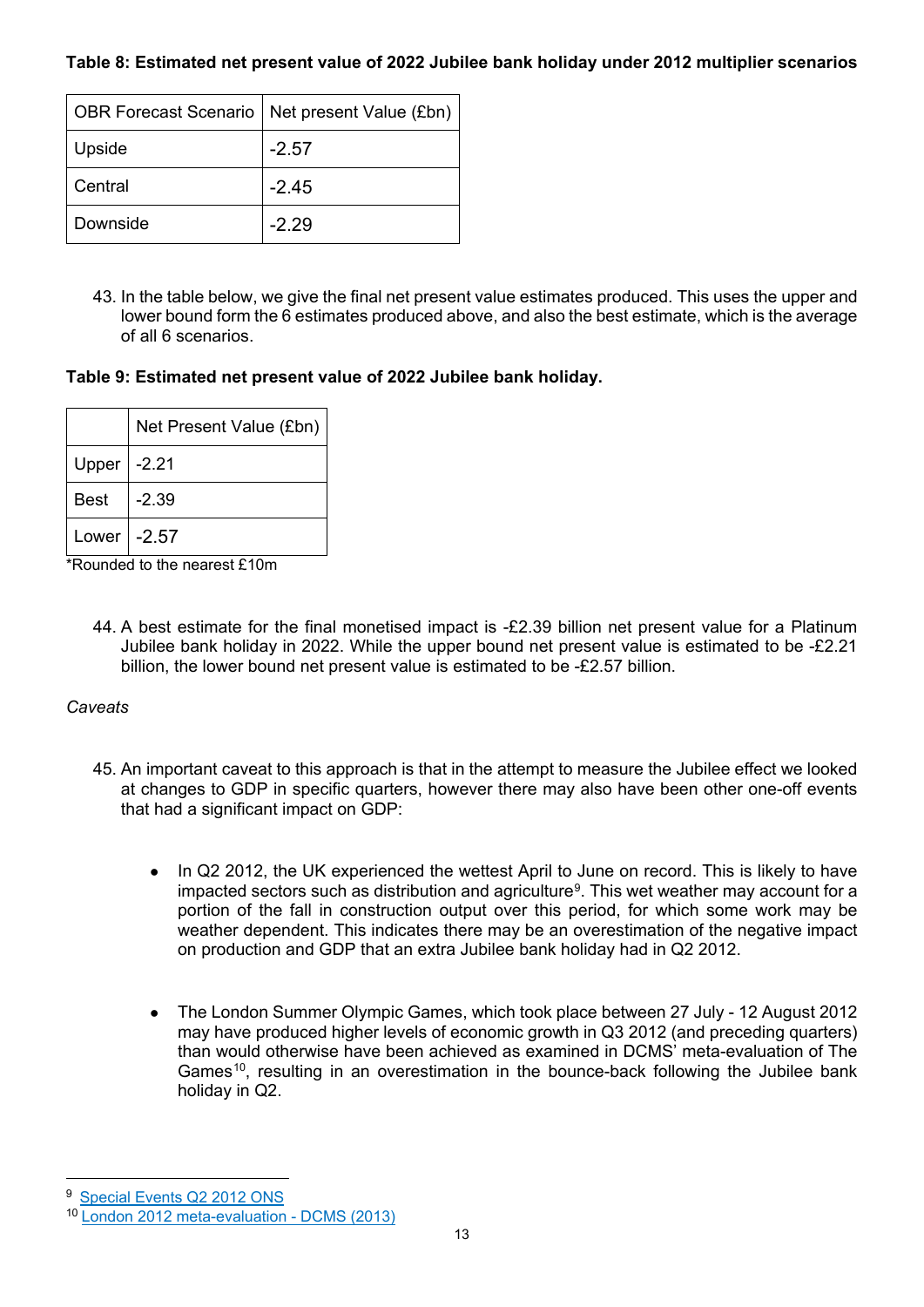**Table 8: Estimated net present value of 2022 Jubilee bank holiday under 2012 multiplier scenarios**

|          | OBR Forecast Scenario   Net present Value (£bn) |
|----------|-------------------------------------------------|
| Upside   | $-2.57$                                         |
| Central  | $-2.45$                                         |
| Downside | $-2.29$                                         |

43. In the table below, we give the final net present value estimates produced. This uses the upper and lower bound form the 6 estimates produced above, and also the best estimate, which is the average of all 6 scenarios.

**Table 9: Estimated net present value of 2022 Jubilee bank holiday.**

|                     | Net Present Value (£bn) |
|---------------------|-------------------------|
| Upper $\vert$ -2.21 |                         |
| Best                | $-2.39$                 |
| Lower               | $-2.57$                 |

\*Rounded to the nearest £10m

44. A best estimate for the final monetised impact is -£2.39 billion net present value for a Platinum Jubilee bank holiday in 2022. While the upper bound net present value is estimated to be -£2.21 billion, the lower bound net present value is estimated to be -£2.57 billion.

# *Caveats*

- 45. An important caveat to this approach is that in the attempt to measure the Jubilee effect we looked at changes to GDP in specific quarters, however there may also have been other one-off events that had a significant impact on GDP:
	- In Q2 2012, the UK experienced the wettest April to June on record. This is likely to have impacted sectors such as distribution and agriculture<sup>[9](#page-12-0)</sup>. This wet weather may account for a portion of the fall in construction output over this period, for which some work may be weather dependent. This indicates there may be an overestimation of the negative impact on production and GDP that an extra Jubilee bank holiday had in Q2 2012.
	- The London Summer Olympic Games, which took place between 27 July 12 August 2012 may have produced higher levels of economic growth in Q3 2012 (and preceding quarters) than would otherwise have been achieved as examined in DCMS' meta-evaluation of The Games<sup>[10](#page-12-1)</sup>, resulting in an overestimation in the bounce-back following the Jubilee bank holiday in Q2.

<span id="page-12-0"></span><sup>9</sup> [Special Events Q2 2012 ONS](https://webarchive.nationalarchives.gov.uk/20160111001046/http:/www.ons.gov.uk/ons/dcp171766_274072.pdf)

<span id="page-12-1"></span><sup>10</sup> [London 2012 meta-evaluation - DCMS \(2013\)](https://www.gov.uk/government/collections/london-2012-meta-evaluation)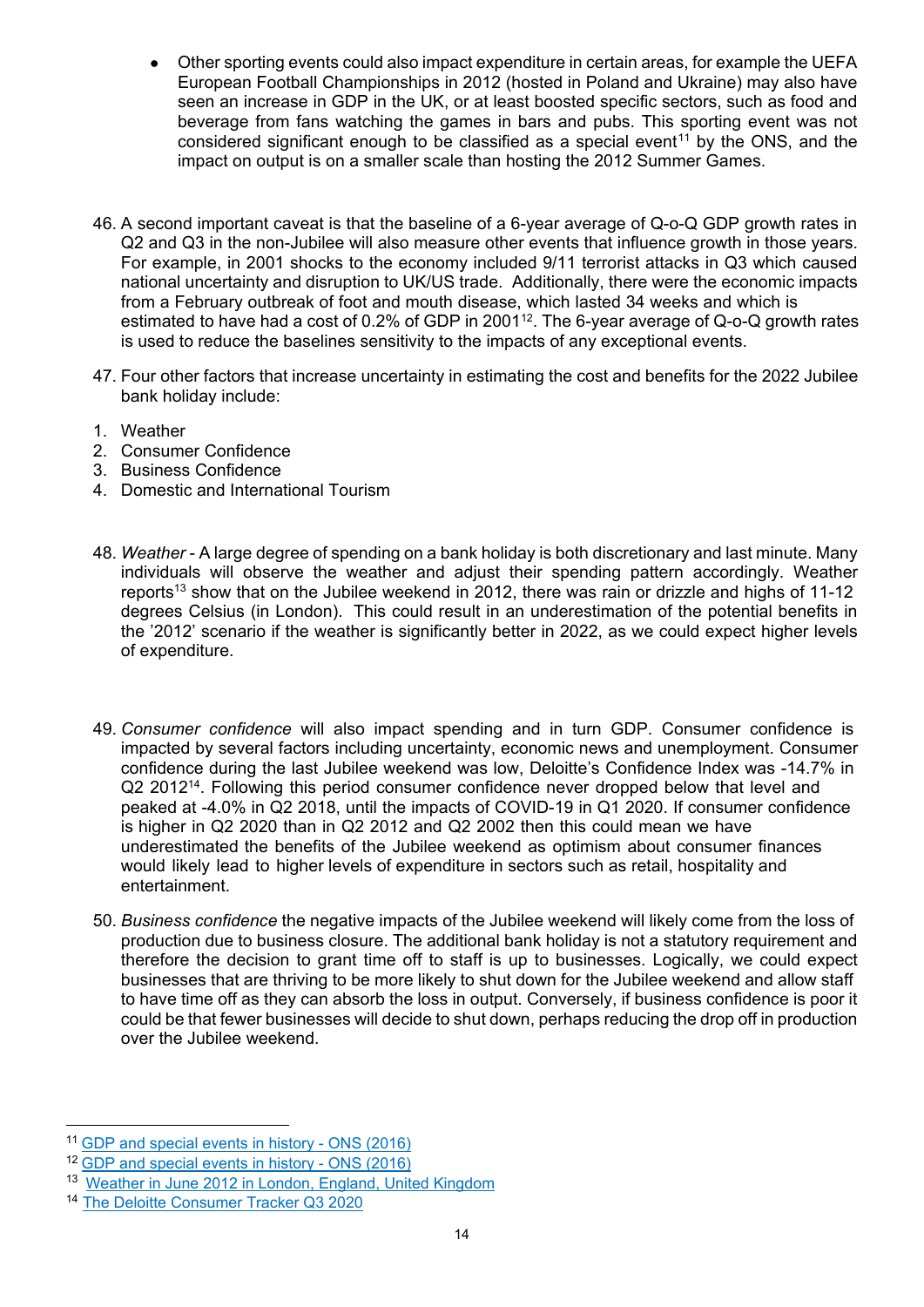- Other sporting events could also impact expenditure in certain areas, for example the UEFA European Football Championships in 2012 (hosted in Poland and Ukraine) may also have seen an increase in GDP in the UK, or at least boosted specific sectors, such as food and beverage from fans watching the games in bars and pubs. This sporting event was not considered significant enough to be classified as a special event<sup>[11](#page-13-0)</sup> by the ONS, and the impact on output is on a smaller scale than hosting the 2012 Summer Games.
- 46. A second important caveat is that the baseline of a 6-year average of Q-o-Q GDP growth rates in Q2 and Q3 in the non-Jubilee will also measure other events that influence growth in those years. For example, in 2001 shocks to the economy included 9/11 terrorist attacks in Q3 which caused national uncertainty and disruption to UK/US trade. Additionally, there were the economic impacts from a February outbreak of foot and mouth disease, which lasted 34 weeks and which is estimated to have had a cost of 0.2% of GDP in 2001<sup>[12](#page-13-1)</sup>. The 6-year average of Q-o-Q growth rates is used to reduce the baselines sensitivity to the impacts of any exceptional events.
- 47. Four other factors that increase uncertainty in estimating the cost and benefits for the 2022 Jubilee bank holiday include:
- 1. Weather
- 2. Consumer Confidence
- 3. Business Confidence
- 4. Domestic and International Tourism
- 48. *Weather* A large degree of spending on a bank holiday is both discretionary and last minute. Many individuals will observe the weather and adjust their spending pattern accordingly. Weather reports<sup>[13](#page-13-2)</sup> show that on the Jubilee weekend in 2012, there was rain or drizzle and highs of 11-12 degrees Celsius (in London). This could result in an underestimation of the potential benefits in the '2012' scenario if the weather is significantly better in 2022, as we could expect higher levels of expenditure.
- 49. *Consumer confidence* will also impact spending and in turn GDP. Consumer confidence is impacted by several factors including uncertainty, economic news and unemployment. Consumer confidence during the last Jubilee weekend was low, Deloitte's Confidence Index was -14.7% in Q2 2012[14](#page-13-3). Following this period consumer confidence never dropped below that level and peaked at -4.0% in Q2 2018, until the impacts of COVID-19 in Q1 2020. If consumer confidence is higher in Q2 2020 than in Q2 2012 and Q2 2002 then this could mean we have underestimated the benefits of the Jubilee weekend as optimism about consumer finances would likely lead to higher levels of expenditure in sectors such as retail, hospitality and entertainment.
- 50. *Business confidence* the negative impacts of the Jubilee weekend will likely come from the loss of production due to business closure. The additional bank holiday is not a statutory requirement and therefore the decision to grant time off to staff is up to businesses. Logically, we could expect businesses that are thriving to be more likely to shut down for the Jubilee weekend and allow staff to have time off as they can absorb the loss in output. Conversely, if business confidence is poor it could be that fewer businesses will decide to shut down, perhaps reducing the drop off in production over the Jubilee weekend.

<span id="page-13-0"></span><sup>11</sup> [GDP and special events in history - ONS \(2016\)](https://www.ons.gov.uk/economy/grossdomesticproductgdp/articles/gdpandspecialeventsinhistory/2016-11-25)

<span id="page-13-1"></span><sup>12</sup> [GDP and special events in history - ONS \(2016\)](https://www.ons.gov.uk/economy/grossdomesticproductgdp/articles/gdpandspecialeventsinhistory/2016-11-25)

<span id="page-13-2"></span><sup>13</sup> [Weather in June 2012 in London, England, United Kingdom](https://www.timeanddate.com/weather/uk/london/historic?month=6&year=2012)

<span id="page-13-3"></span><sup>14</sup> [The Deloitte Consumer Tracker Q3 2020](https://www2.deloitte.com/uk/en/pages/consumer-business/articles/consumer-tracker.html)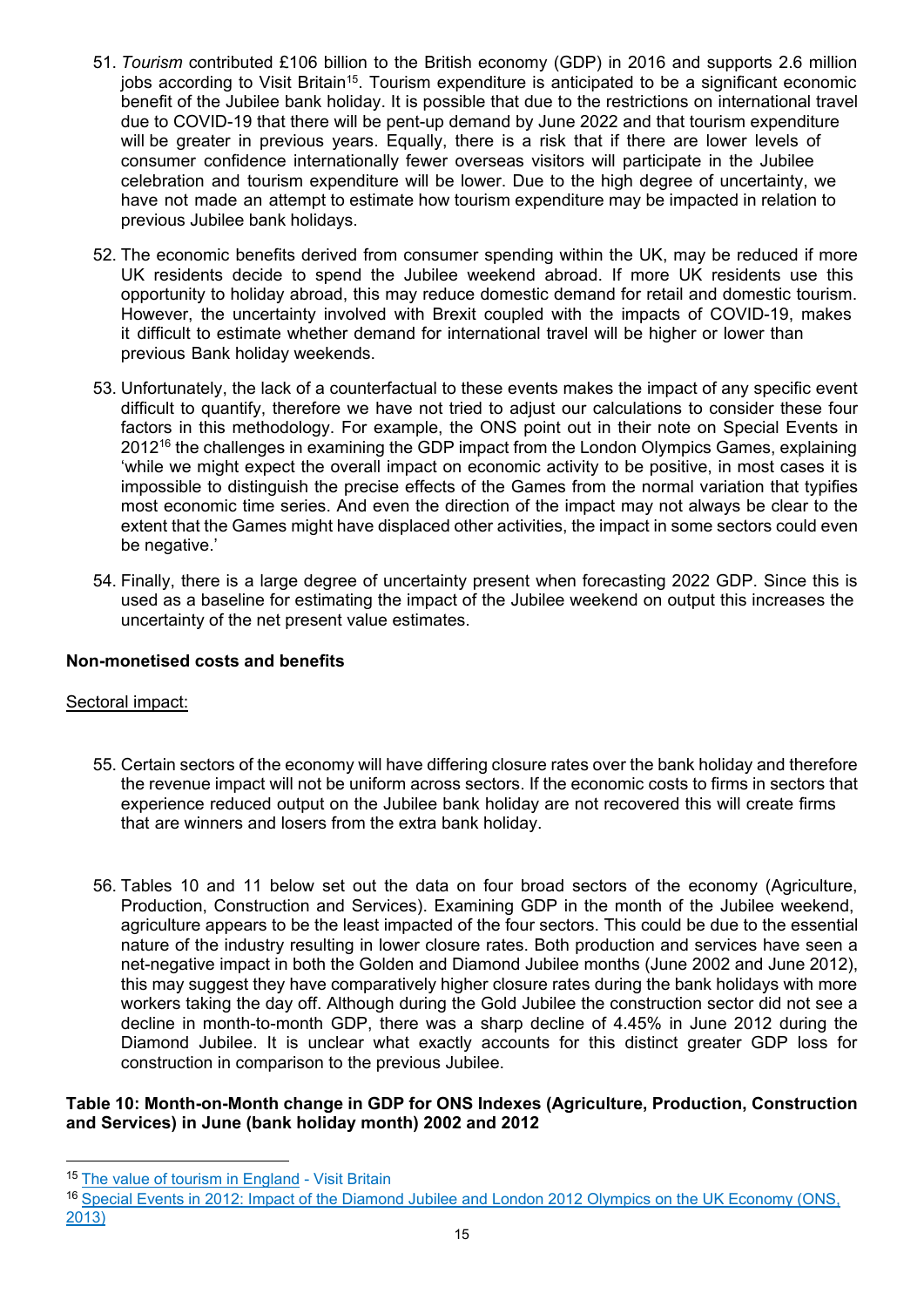- 51. *Tourism* contributed £106 billion to the British economy (GDP) in 2016 and supports 2.6 million jobs according to Visit Britain<sup>[15](#page-14-0)</sup>. Tourism expenditure is anticipated to be a significant economic benefit of the Jubilee bank holiday. It is possible that due to the restrictions on international travel due to COVID-19 that there will be pent-up demand by June 2022 and that tourism expenditure will be greater in previous years. Equally, there is a risk that if there are lower levels of consumer confidence internationally fewer overseas visitors will participate in the Jubilee celebration and tourism expenditure will be lower. Due to the high degree of uncertainty, we have not made an attempt to estimate how tourism expenditure may be impacted in relation to previous Jubilee bank holidays.
- 52. The economic benefits derived from consumer spending within the UK, may be reduced if more UK residents decide to spend the Jubilee weekend abroad. If more UK residents use this opportunity to holiday abroad, this may reduce domestic demand for retail and domestic tourism. However, the uncertainty involved with Brexit coupled with the impacts of COVID-19, makes it difficult to estimate whether demand for international travel will be higher or lower than previous Bank holiday weekends.
- 53. Unfortunately, the lack of a counterfactual to these events makes the impact of any specific event difficult to quantify, therefore we have not tried to adjust our calculations to consider these four factors in this methodology. For example, the ONS point out in their note on Special Events in 2012<sup>[16](#page-14-1)</sup> the challenges in examining the GDP impact from the London Olympics Games, explaining 'while we might expect the overall impact on economic activity to be positive, in most cases it is impossible to distinguish the precise effects of the Games from the normal variation that typifies most economic time series. And even the direction of the impact may not always be clear to the extent that the Games might have displaced other activities, the impact in some sectors could even be negative.'
- 54. Finally, there is a large degree of uncertainty present when forecasting 2022 GDP. Since this is used as a baseline for estimating the impact of the Jubilee weekend on output this increases the uncertainty of the net present value estimates.

## **Non-monetised costs and benefits**

#### Sectoral impact:

- 55. Certain sectors of the economy will have differing closure rates over the bank holiday and therefore the revenue impact will not be uniform across sectors. If the economic costs to firms in sectors that experience reduced output on the Jubilee bank holiday are not recovered this will create firms that are winners and losers from the extra bank holiday.
- 56. Tables 10 and 11 below set out the data on four broad sectors of the economy (Agriculture, Production, Construction and Services). Examining GDP in the month of the Jubilee weekend, agriculture appears to be the least impacted of the four sectors. This could be due to the essential nature of the industry resulting in lower closure rates. Both production and services have seen a net-negative impact in both the Golden and Diamond Jubilee months (June 2002 and June 2012), this may suggest they have comparatively higher closure rates during the bank holidays with more workers taking the day off. Although during the Gold Jubilee the construction sector did not see a decline in month-to-month GDP, there was a sharp decline of 4.45% in June 2012 during the Diamond Jubilee. It is unclear what exactly accounts for this distinct greater GDP loss for construction in comparison to the previous Jubilee.

## **Table 10: Month-on-Month change in GDP for ONS Indexes (Agriculture, Production, Construction and Services) in June (bank holiday month) 2002 and 2012**

<span id="page-14-0"></span><sup>&</sup>lt;sup>15</sup> [The value of tourism in England](https://www.visitbritain.org/value-tourism-england) - Visit Britain

<span id="page-14-1"></span><sup>16</sup> [Special Events in 2012: Impact of the Diamond Jubilee and London 2012 Olympics on the UK Economy \(ONS,](https://webarchive.nationalarchives.gov.uk/20160105214928/http:/www.ons.gov.uk/ons/rel/elmr/the-impact-of-previous-special-events-on-economic-time-series/the-diamond-jubilee-and-the-london-2012-olympics/art-jubileeolympics.html)  [2013\)](https://webarchive.nationalarchives.gov.uk/20160105214928/http:/www.ons.gov.uk/ons/rel/elmr/the-impact-of-previous-special-events-on-economic-time-series/the-diamond-jubilee-and-the-london-2012-olympics/art-jubileeolympics.html)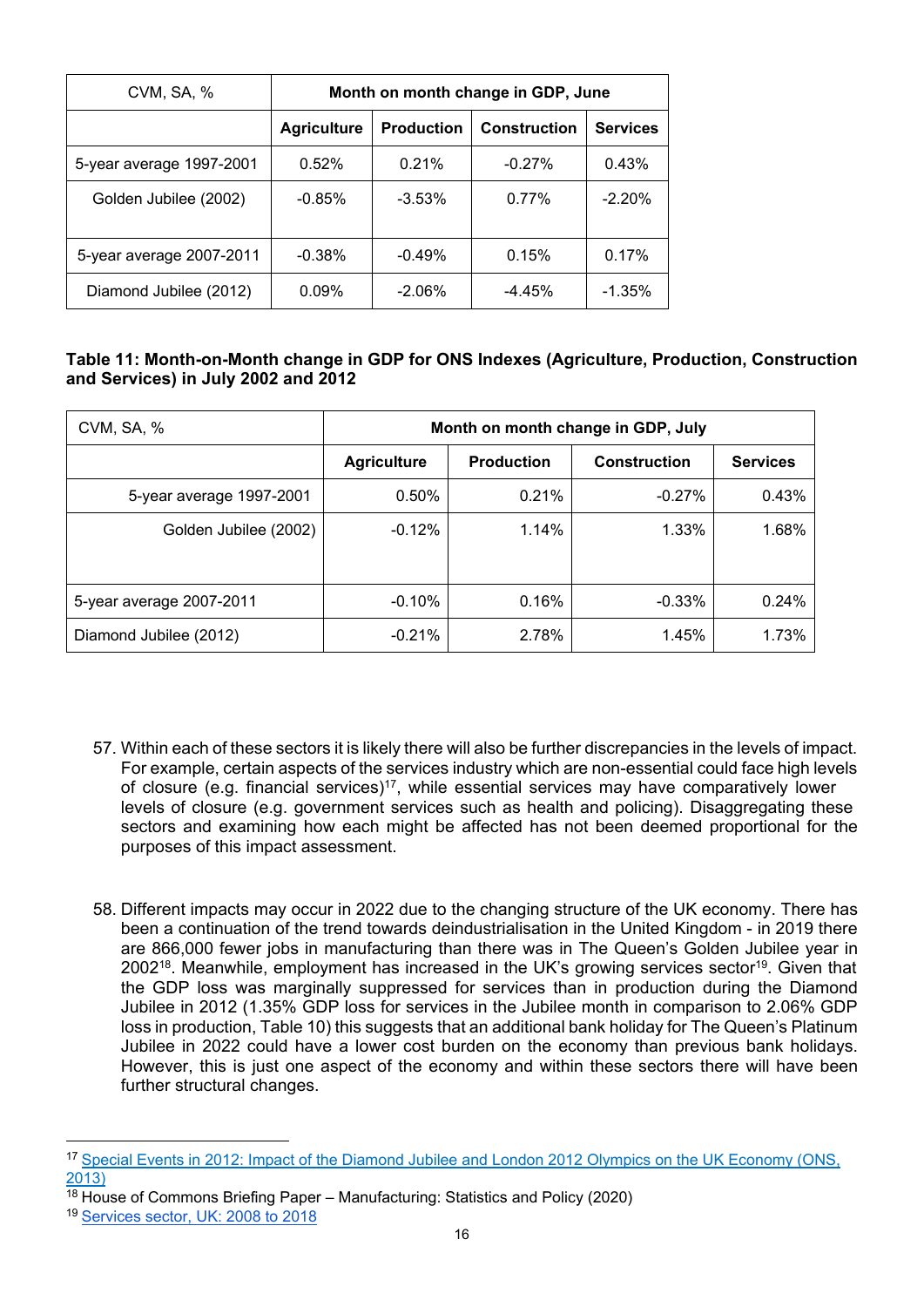| CVM, SA, %               | Month on month change in GDP, June |                   |                     |                 |
|--------------------------|------------------------------------|-------------------|---------------------|-----------------|
|                          | <b>Agriculture</b>                 | <b>Production</b> | <b>Construction</b> | <b>Services</b> |
| 5-year average 1997-2001 | 0.52%                              | 0.21%             | $-0.27%$            | 0.43%           |
| Golden Jubilee (2002)    | $-0.85%$                           | $-3.53\%$         | 0.77%               | $-2.20%$        |
| 5-year average 2007-2011 | $-0.38%$                           | $-0.49%$          | 0.15%               | 0.17%           |
| Diamond Jubilee (2012)   | 0.09%                              | $-2.06\%$         | $-4.45%$            | $-1.35%$        |

# **Table 11: Month-on-Month change in GDP for ONS Indexes (Agriculture, Production, Construction and Services) in July 2002 and 2012**

| CVM, SA, %               | Month on month change in GDP, July |                   |                     |                 |
|--------------------------|------------------------------------|-------------------|---------------------|-----------------|
|                          | <b>Agriculture</b>                 | <b>Production</b> | <b>Construction</b> | <b>Services</b> |
| 5-year average 1997-2001 | 0.50%                              | 0.21%             | $-0.27%$            | 0.43%           |
| Golden Jubilee (2002)    | $-0.12%$                           | 1.14%             | 1.33%               | 1.68%           |
|                          |                                    |                   |                     |                 |
| 5-year average 2007-2011 | $-0.10%$                           | 0.16%             | $-0.33%$            | 0.24%           |
| Diamond Jubilee (2012)   | $-0.21%$                           | 2.78%             | 1.45%               | 1.73%           |

- 57. Within each of these sectors it is likely there will also be further discrepancies in the levels of impact. For example, certain aspects of the services industry which are non-essential could face high levels of closure (e.g. financial services)<sup>[17](#page-15-0)</sup>, while essential services may have comparatively lower levels of closure (e.g. government services such as health and policing). Disaggregating these sectors and examining how each might be affected has not been deemed proportional for the purposes of this impact assessment.
- 58. Different impacts may occur in 2022 due to the changing structure of the UK economy. There has been a continuation of the trend towards deindustrialisation in the United Kingdom - in 2019 there are 866,000 fewer jobs in manufacturing than there was in The Queen's Golden Jubilee year in 2002<sup>[18](#page-15-1)</sup>. Meanwhile, employment has increased in the UK's growing services sector<sup>[19](#page-15-2)</sup>. Given that the GDP loss was marginally suppressed for services than in production during the Diamond Jubilee in 2012 (1.35% GDP loss for services in the Jubilee month in comparison to 2.06% GDP loss in production, Table 10) this suggests that an additional bank holiday for The Queen's Platinum Jubilee in 2022 could have a lower cost burden on the economy than previous bank holidays. However, this is just one aspect of the economy and within these sectors there will have been further structural changes.

<span id="page-15-0"></span><sup>&</sup>lt;sup>17</sup> Special Events in 2012: Impact of the Diamond Jubilee and London 2012 Olympics on the UK Economy (ONS, [2013\)](https://webarchive.nationalarchives.gov.uk/20160105214928/http:/www.ons.gov.uk/ons/rel/elmr/the-impact-of-previous-special-events-on-economic-time-series/the-diamond-jubilee-and-the-london-2012-olympics/art-jubileeolympics.html)

<span id="page-15-1"></span> $\frac{18}{18}$  House of Commons Briefing Paper – Manufacturing: Statistics and Policy (2020)

<span id="page-15-2"></span><sup>19</sup> [Services sector, UK: 2008 to 2018](https://www.ons.gov.uk/economy/economicoutputandproductivity/output/articles/servicessectoruk/2008to2018)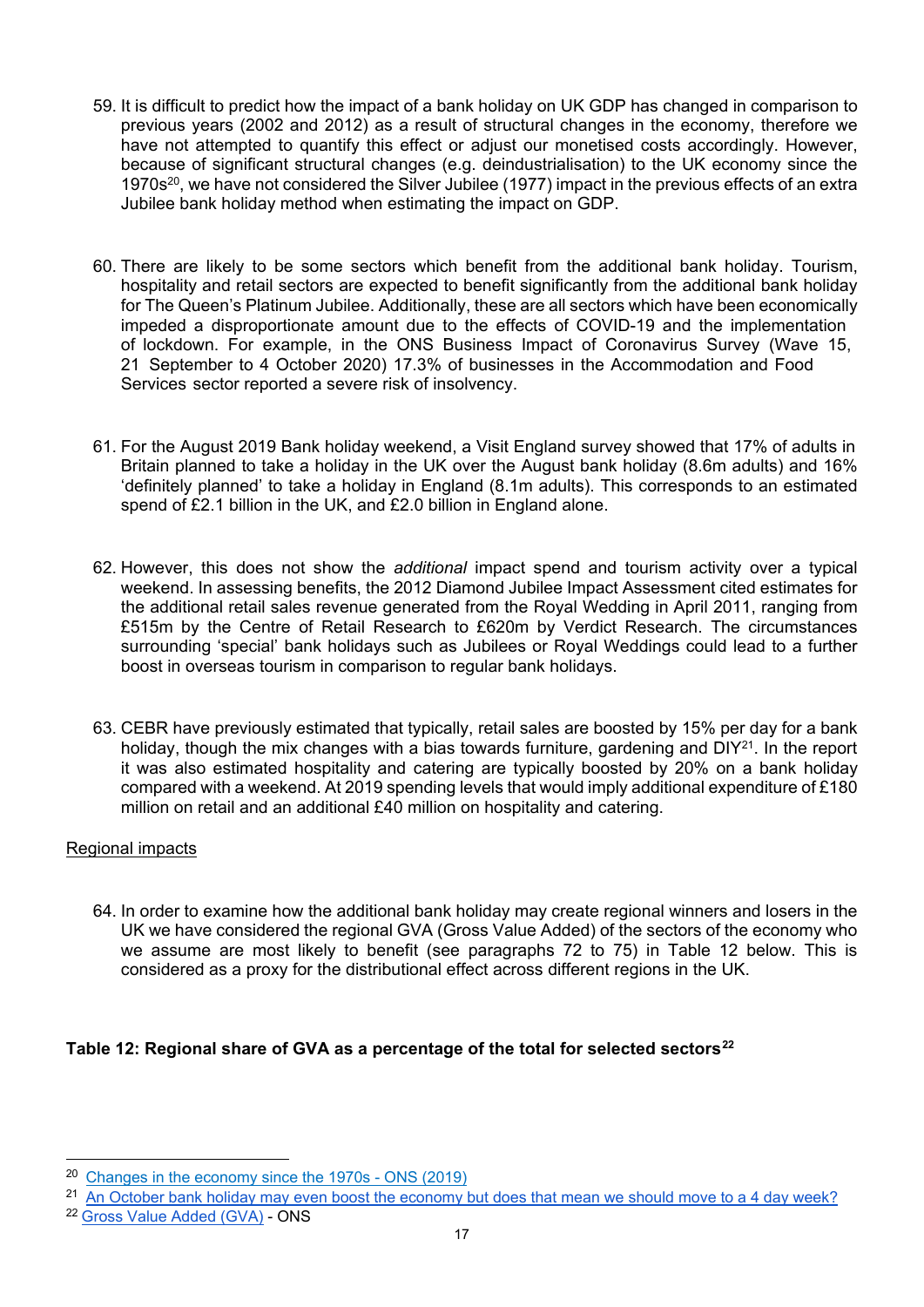- 59. It is difficult to predict how the impact of a bank holiday on UK GDP has changed in comparison to previous years (2002 and 2012) as a result of structural changes in the economy, therefore we have not attempted to quantify this effect or adjust our monetised costs accordingly. However, because of significant structural changes (e.g. deindustrialisation) to the UK economy since the 1970s<sup>[20](#page-16-0)</sup>, we have not considered the Silver Jubilee (1977) impact in the previous effects of an extra Jubilee bank holiday method when estimating the impact on GDP.
- 60. There are likely to be some sectors which benefit from the additional bank holiday. Tourism, hospitality and retail sectors are expected to benefit significantly from the additional bank holiday for The Queen's Platinum Jubilee. Additionally, these are all sectors which have been economically impeded a disproportionate amount due to the effects of COVID-19 and the implementation of lockdown. For example, in the ONS Business Impact of Coronavirus Survey (Wave 15, 21 September to 4 October 2020) 17.3% of businesses in the Accommodation and Food Services sector reported a severe risk of insolvency.
- 61. For the August 2019 Bank holiday weekend, a Visit England survey showed that 17% of adults in Britain planned to take a holiday in the UK over the August bank holiday (8.6m adults) and 16% 'definitely planned' to take a holiday in England (8.1m adults). This corresponds to an estimated spend of £2.1 billion in the UK, and £2.0 billion in England alone.
- 62. However, this does not show the *additional* impact spend and tourism activity over a typical weekend. In assessing benefits, the 2012 Diamond Jubilee Impact Assessment cited estimates for the additional retail sales revenue generated from the Royal Wedding in April 2011, ranging from £515m by the Centre of Retail Research to £620m by Verdict Research. The circumstances surrounding 'special' bank holidays such as Jubilees or Royal Weddings could lead to a further boost in overseas tourism in comparison to regular bank holidays.
- 63. CEBR have previously estimated that typically, retail sales are boosted by 15% per day for a bank holiday, though the mix changes with a bias towards furniture, gardening and DIY<sup>[21](#page-16-1)</sup>. In the report it was also estimated hospitality and catering are typically boosted by 20% on a bank holiday compared with a weekend. At 2019 spending levels that would imply additional expenditure of £180 million on retail and an additional £40 million on hospitality and catering.

# Regional impacts

64. In order to examine how the additional bank holiday may create regional winners and losers in the UK we have considered the regional GVA (Gross Value Added) of the sectors of the economy who we assume are most likely to benefit (see paragraphs 72 to 75) in Table 12 below. This is considered as a proxy for the distributional effect across different regions in the UK.

# **Table 12: Regional share of GVA as a percentage of the total for selected sectors[22](#page-16-2)**

<span id="page-16-0"></span><sup>20</sup> [Changes in the economy since the 1970s - ONS \(2019\)](https://www.ons.gov.uk/economy/economicoutputandproductivity/output/articles/changesintheeconomysincethe1970s/2019-09-02)

<span id="page-16-1"></span><sup>&</sup>lt;sup>21</sup> [An October bank holiday may even boost the economy but does that mean we should move to a 4 day week?](https://cebr.com/reports/an-october-bank-holiday-may-even-boost-the-economy-but-does-that-mean-we-should-move-to-a-4-day-week/)

<span id="page-16-2"></span><sup>22</sup> [Gross Value Added \(GVA\)](https://www.ons.gov.uk/economy/grossvalueaddedgva) - ONS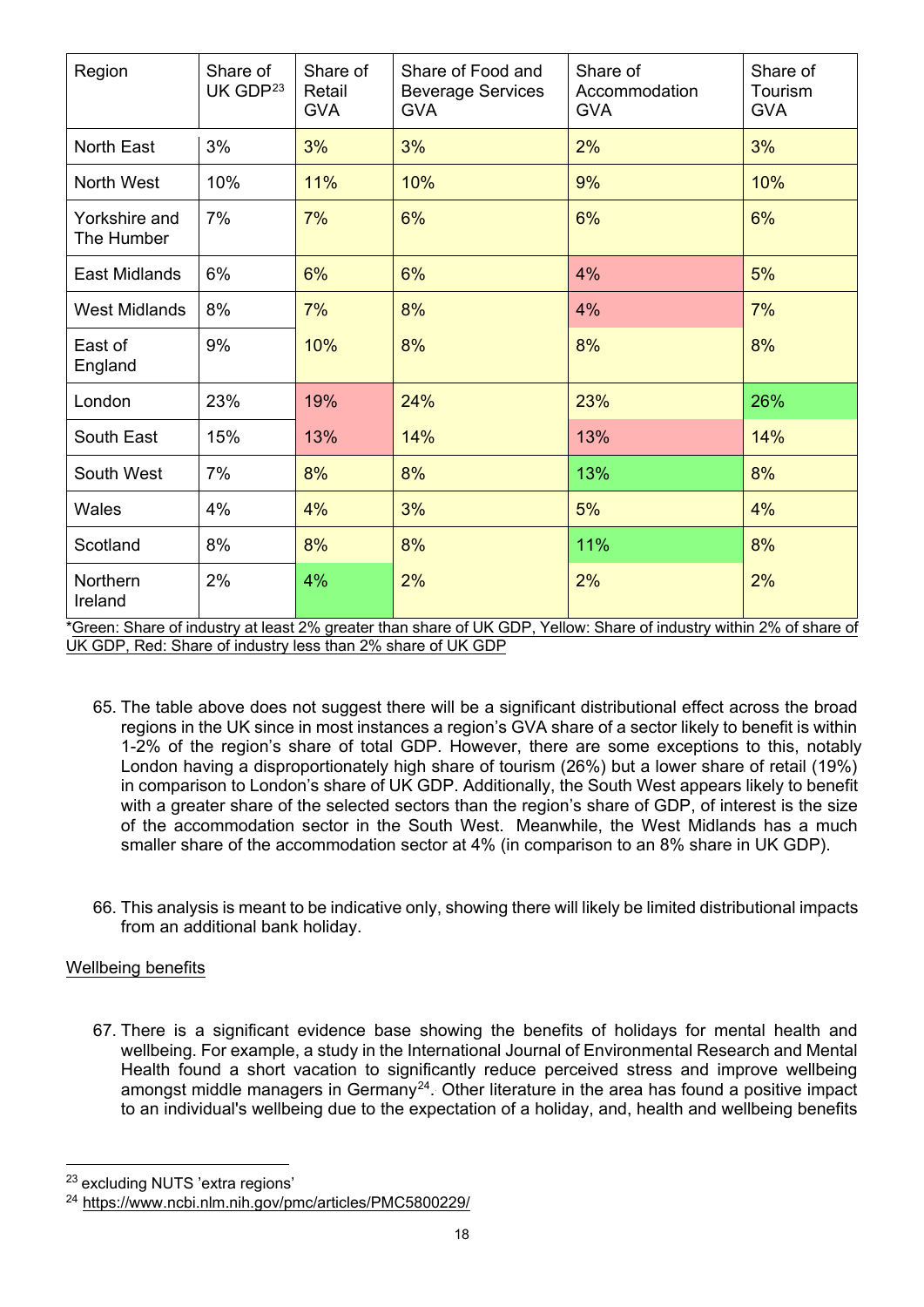| Region                                                     | Share of<br>UK GDP <sup>23</sup>    | Share of<br>Retail<br><b>GVA</b> | Share of Food and<br><b>Beverage Services</b><br><b>GVA</b> | Share of<br>Accommodation<br><b>GVA</b>                                      | Share of<br>Tourism<br><b>GVA</b> |
|------------------------------------------------------------|-------------------------------------|----------------------------------|-------------------------------------------------------------|------------------------------------------------------------------------------|-----------------------------------|
| <b>North East</b>                                          | 3%                                  | 3%                               | 3%                                                          | 2%                                                                           | 3%                                |
| North West                                                 | 10%                                 | 11%                              | 10%                                                         | 9%                                                                           | 10%                               |
| Yorkshire and<br>The Humber                                | 7%                                  | 7%                               | 6%                                                          | 6%                                                                           | 6%                                |
| <b>East Midlands</b>                                       | 6%                                  | 6%                               | 6%                                                          | 4%                                                                           | 5%                                |
| <b>West Midlands</b>                                       | 8%                                  | 7%                               | 8%                                                          | 4%                                                                           | 7%                                |
| East of<br>England                                         | 9%                                  | 10%                              | 8%                                                          | 8%                                                                           | 8%                                |
| London                                                     | 23%                                 | 19%                              | 24%                                                         | 23%                                                                          | 26%                               |
| South East                                                 | 15%                                 | 13%                              | 14%                                                         | 13%                                                                          | 14%                               |
| South West                                                 | 7%                                  | 8%                               | 8%                                                          | 13%                                                                          | 8%                                |
| Wales                                                      | 4%                                  | 4%                               | 3%                                                          | 5%                                                                           | 4%                                |
| Scotland                                                   | 8%                                  | 8%                               | 8%                                                          | 11%                                                                          | 8%                                |
| Northern<br>Ireland<br>$*$ $\cap$ $\ldots$ $\cap$ $\vdots$ | 2%<br>والملاط والمتعاون والمستراكية | 4%<br>$-1.001$<br>- 41-          | 2%<br>$-11112$ CDD $M_2H_2$ Ok.<br>والمراجل المراد          | 2%<br>$\mathcal{L}$ for the extension of the fact $\mathcal{L}(\mathcal{L})$ | 2%                                |

\*Green: Share of industry at least 2% greater than share of UK GDP, Yellow: Share of industry within 2% of share of UK GDP, Red: Share of industry less than 2% share of UK GDP

- 65. The table above does not suggest there will be a significant distributional effect across the broad regions in the UK since in most instances a region's GVA share of a sector likely to benefit is within 1-2% of the region's share of total GDP. However, there are some exceptions to this, notably London having a disproportionately high share of tourism (26%) but a lower share of retail (19%) in comparison to London's share of UK GDP. Additionally, the South West appears likely to benefit with a greater share of the selected sectors than the region's share of GDP, of interest is the size of the accommodation sector in the South West. Meanwhile, the West Midlands has a much smaller share of the accommodation sector at 4% (in comparison to an 8% share in UK GDP).
- 66. This analysis is meant to be indicative only, showing there will likely be limited distributional impacts from an additional bank holiday.

# Wellbeing benefits

67. There is a significant evidence base showing the benefits of holidays for mental health and wellbeing. For example, a study in the International Journal of Environmental Research and Mental Health found a short vacation to significantly reduce perceived stress and improve wellbeing amongst middle managers in Germany<sup>[24](#page-17-1)</sup>. Other literature in the area has found a positive impact to an individual's wellbeing due to the expectation of a holiday, and, health and wellbeing benefits

<span id="page-17-0"></span><sup>23</sup> excluding NUTS 'extra regions'

<span id="page-17-1"></span><sup>24</sup> <https://www.ncbi.nlm.nih.gov/pmc/articles/PMC5800229/>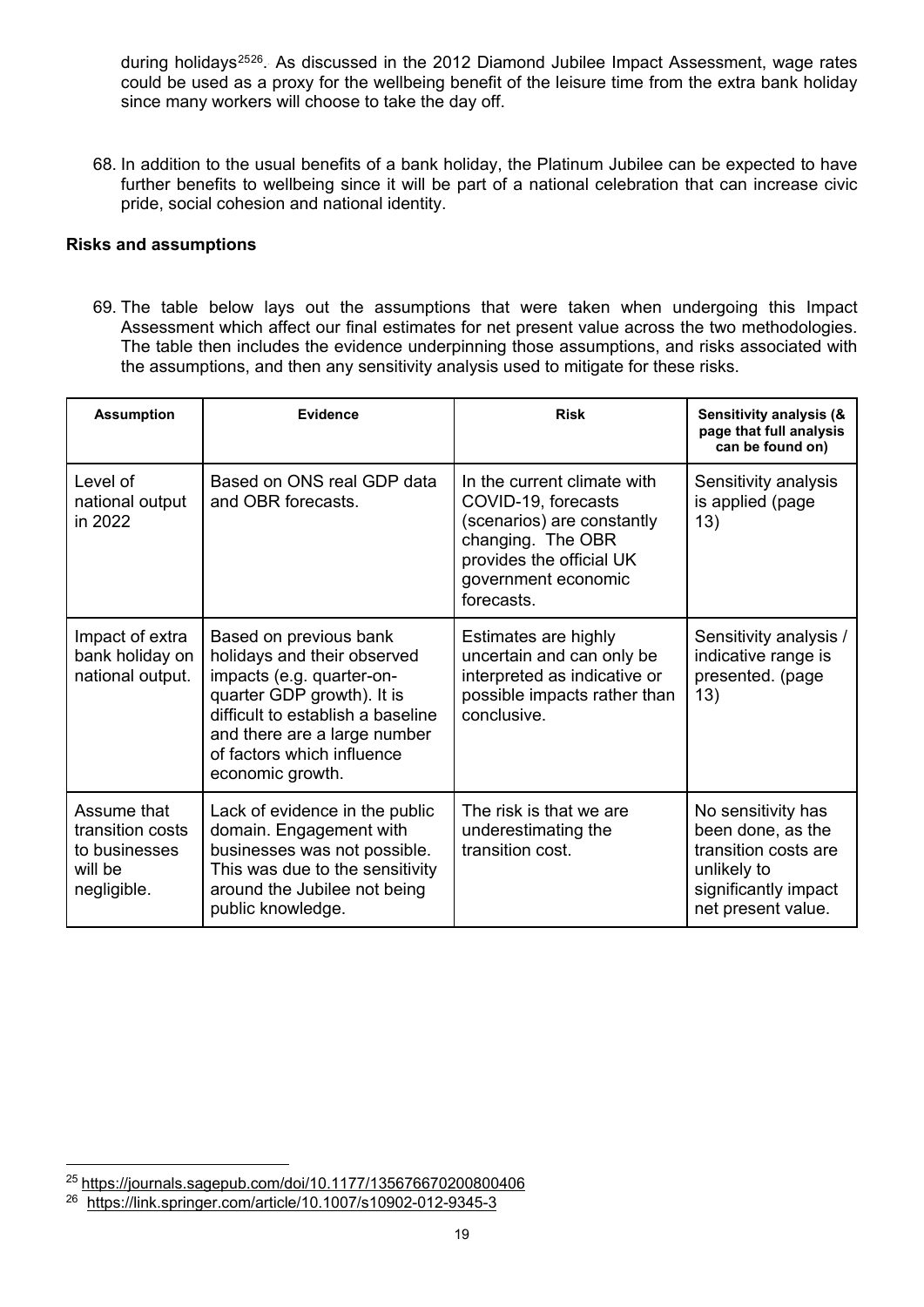during holidays<sup>[25](#page-18-0)[26](#page-18-1)</sup>. As discussed in the 2012 Diamond Jubilee Impact Assessment, wage rates could be used as a proxy for the wellbeing benefit of the leisure time from the extra bank holiday since many workers will choose to take the day off.

68. In addition to the usual benefits of a bank holiday, the Platinum Jubilee can be expected to have further benefits to wellbeing since it will be part of a national celebration that can increase civic pride, social cohesion and national identity.

#### **Risks and assumptions**

69. The table below lays out the assumptions that were taken when undergoing this Impact Assessment which affect our final estimates for net present value across the two methodologies. The table then includes the evidence underpinning those assumptions, and risks associated with the assumptions, and then any sensitivity analysis used to mitigate for these risks.

| <b>Assumption</b>                                                          | Evidence                                                                                                                                                                                                                                | <b>Risk</b>                                                                                                                                                            | Sensitivity analysis (&<br>page that full analysis<br>can be found on)                                                       |
|----------------------------------------------------------------------------|-----------------------------------------------------------------------------------------------------------------------------------------------------------------------------------------------------------------------------------------|------------------------------------------------------------------------------------------------------------------------------------------------------------------------|------------------------------------------------------------------------------------------------------------------------------|
| Level of<br>national output<br>in 2022                                     | Based on ONS real GDP data<br>and OBR forecasts.                                                                                                                                                                                        | In the current climate with<br>COVID-19, forecasts<br>(scenarios) are constantly<br>changing. The OBR<br>provides the official UK<br>government economic<br>forecasts. | Sensitivity analysis<br>is applied (page<br>13)                                                                              |
| Impact of extra<br>bank holiday on<br>national output.                     | Based on previous bank<br>holidays and their observed<br>impacts (e.g. quarter-on-<br>quarter GDP growth). It is<br>difficult to establish a baseline<br>and there are a large number<br>of factors which influence<br>economic growth. | Estimates are highly<br>uncertain and can only be<br>interpreted as indicative or<br>possible impacts rather than<br>conclusive.                                       | Sensitivity analysis /<br>indicative range is<br>presented. (page<br>13)                                                     |
| Assume that<br>transition costs<br>to businesses<br>will be<br>negligible. | Lack of evidence in the public<br>domain. Engagement with<br>businesses was not possible.<br>This was due to the sensitivity<br>around the Jubilee not being<br>public knowledge.                                                       | The risk is that we are<br>underestimating the<br>transition cost.                                                                                                     | No sensitivity has<br>been done, as the<br>transition costs are<br>unlikely to<br>significantly impact<br>net present value. |

<span id="page-18-0"></span><sup>25</sup> <https://journals.sagepub.com/doi/10.1177/135676670200800406>

<span id="page-18-1"></span><sup>26</sup> <https://link.springer.com/article/10.1007/s10902-012-9345-3>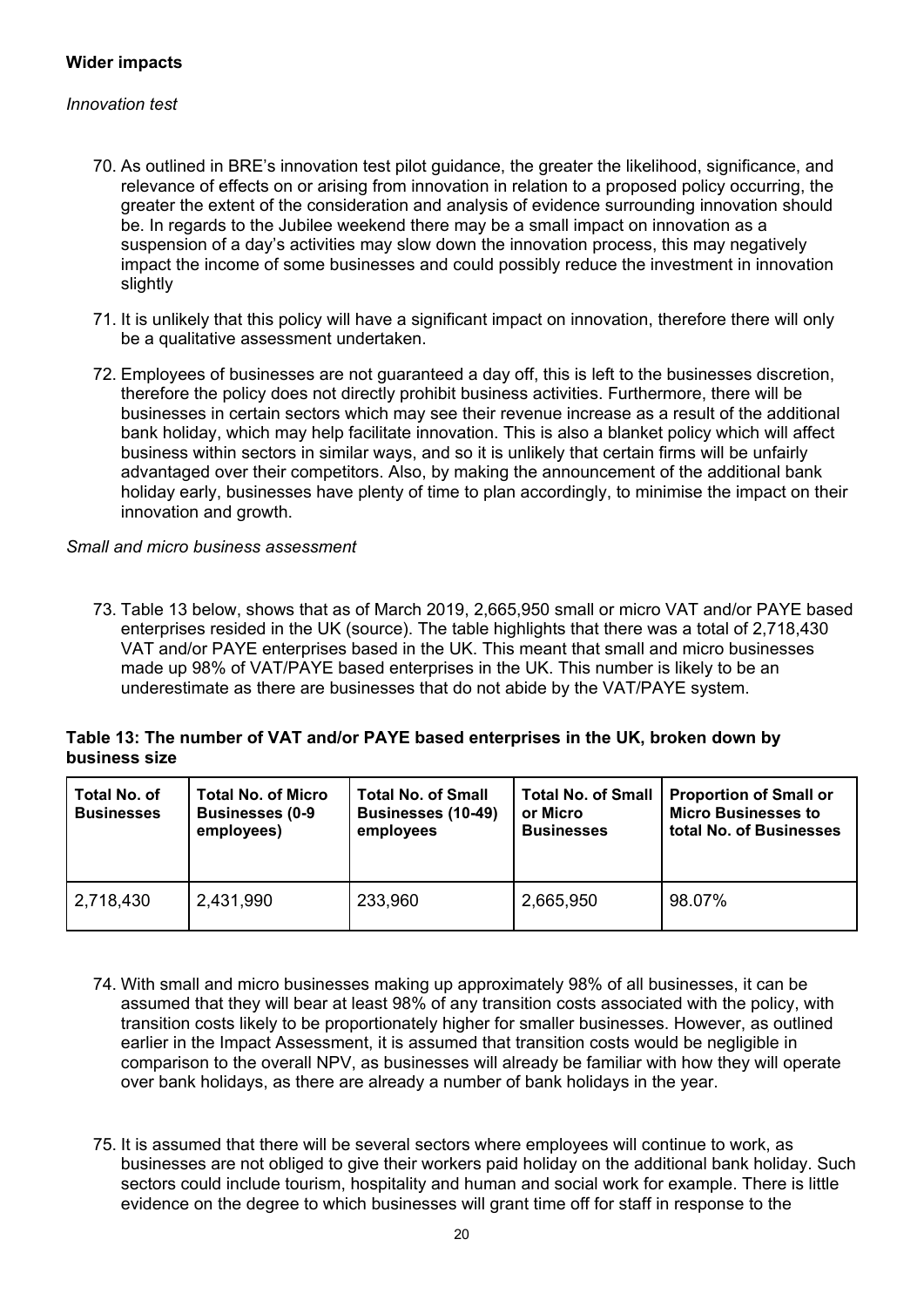#### **Wider impacts**

#### *Innovation test*

- 70. As outlined in BRE's innovation test pilot guidance, the greater the likelihood, significance, and relevance of effects on or arising from innovation in relation to a proposed policy occurring, the greater the extent of the consideration and analysis of evidence surrounding innovation should be. In regards to the Jubilee weekend there may be a small impact on innovation as a suspension of a day's activities may slow down the innovation process, this may negatively impact the income of some businesses and could possibly reduce the investment in innovation slightly
- 71. It is unlikely that this policy will have a significant impact on innovation, therefore there will only be a qualitative assessment undertaken.
- 72. Employees of businesses are not guaranteed a day off, this is left to the businesses discretion, therefore the policy does not directly prohibit business activities. Furthermore, there will be businesses in certain sectors which may see their revenue increase as a result of the additional bank holiday, which may help facilitate innovation. This is also a blanket policy which will affect business within sectors in similar ways, and so it is unlikely that certain firms will be unfairly advantaged over their competitors. Also, by making the announcement of the additional bank holiday early, businesses have plenty of time to plan accordingly, to minimise the impact on their innovation and growth.

#### *Small and micro business assessment*

73. Table 13 below, shows that as of March 2019, 2,665,950 small or micro VAT and/or PAYE based enterprises resided in the UK (source). The table highlights that there was a total of 2,718,430 VAT and/or PAYE enterprises based in the UK. This meant that small and micro businesses made up 98% of VAT/PAYE based enterprises in the UK. This number is likely to be an underestimate as there are businesses that do not abide by the VAT/PAYE system.

#### **Table 13: The number of VAT and/or PAYE based enterprises in the UK, broken down by business size**

| Total No. of<br><b>Businesses</b> | <b>Total No. of Micro</b><br><b>Businesses (0-9</b><br>employees) | <b>Total No. of Small</b><br><b>Businesses (10-49)</b><br>employees | <b>Total No. of Small</b><br>or Micro<br><b>Businesses</b> | <b>Proportion of Small or</b><br><b>Micro Businesses to</b><br>total No. of Businesses |
|-----------------------------------|-------------------------------------------------------------------|---------------------------------------------------------------------|------------------------------------------------------------|----------------------------------------------------------------------------------------|
| 2,718,430                         | 2,431,990                                                         | 233,960                                                             | 2,665,950                                                  | 98.07%                                                                                 |

- 74. With small and micro businesses making up approximately 98% of all businesses, it can be assumed that they will bear at least 98% of any transition costs associated with the policy, with transition costs likely to be proportionately higher for smaller businesses. However, as outlined earlier in the Impact Assessment, it is assumed that transition costs would be negligible in comparison to the overall NPV, as businesses will already be familiar with how they will operate over bank holidays, as there are already a number of bank holidays in the year.
- 75. It is assumed that there will be several sectors where employees will continue to work, as businesses are not obliged to give their workers paid holiday on the additional bank holiday. Such sectors could include tourism, hospitality and human and social work for example. There is little evidence on the degree to which businesses will grant time off for staff in response to the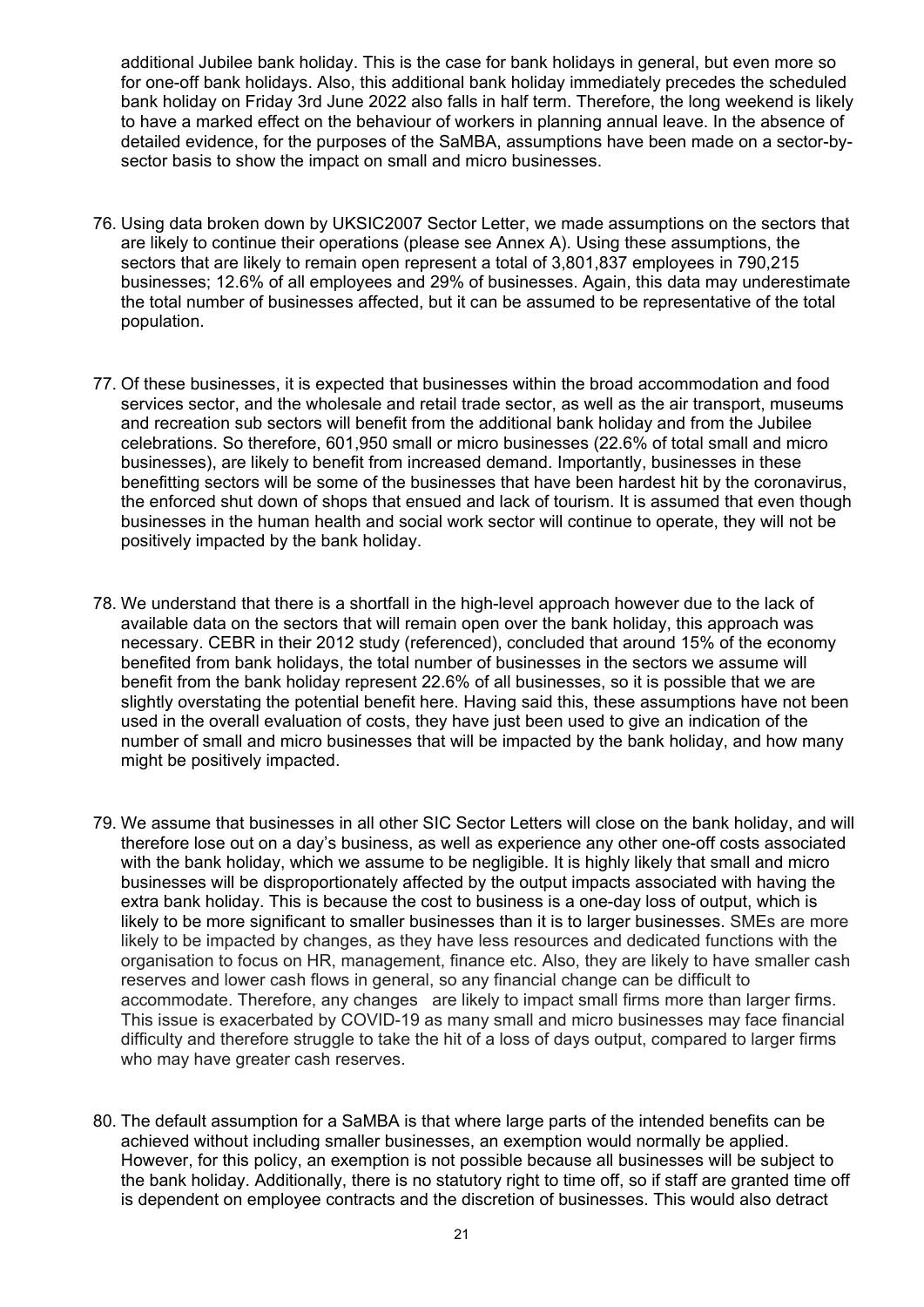additional Jubilee bank holiday. This is the case for bank holidays in general, but even more so for one-off bank holidays. Also, this additional bank holiday immediately precedes the scheduled bank holiday on Friday 3rd June 2022 also falls in half term. Therefore, the long weekend is likely to have a marked effect on the behaviour of workers in planning annual leave. In the absence of detailed evidence, for the purposes of the SaMBA, assumptions have been made on a sector-bysector basis to show the impact on small and micro businesses.

- 76. Using data broken down by UKSIC2007 Sector Letter, we made assumptions on the sectors that are likely to continue their operations (please see Annex A). Using these assumptions, the sectors that are likely to remain open represent a total of 3,801,837 employees in 790,215 businesses; 12.6% of all employees and 29% of businesses. Again, this data may underestimate the total number of businesses affected, but it can be assumed to be representative of the total population.
- 77. Of these businesses, it is expected that businesses within the broad accommodation and food services sector, and the wholesale and retail trade sector, as well as the air transport, museums and recreation sub sectors will benefit from the additional bank holiday and from the Jubilee celebrations. So therefore, 601,950 small or micro businesses (22.6% of total small and micro businesses), are likely to benefit from increased demand. Importantly, businesses in these benefitting sectors will be some of the businesses that have been hardest hit by the coronavirus, the enforced shut down of shops that ensued and lack of tourism. It is assumed that even though businesses in the human health and social work sector will continue to operate, they will not be positively impacted by the bank holiday.
- 78. We understand that there is a shortfall in the high-level approach however due to the lack of available data on the sectors that will remain open over the bank holiday, this approach was necessary. CEBR in their 2012 study (referenced), concluded that around 15% of the economy benefited from bank holidays, the total number of businesses in the sectors we assume will benefit from the bank holiday represent 22.6% of all businesses, so it is possible that we are slightly overstating the potential benefit here. Having said this, these assumptions have not been used in the overall evaluation of costs, they have just been used to give an indication of the number of small and micro businesses that will be impacted by the bank holiday, and how many might be positively impacted.
- 79. We assume that businesses in all other SIC Sector Letters will close on the bank holiday, and will therefore lose out on a day's business, as well as experience any other one-off costs associated with the bank holiday, which we assume to be negligible. It is highly likely that small and micro businesses will be disproportionately affected by the output impacts associated with having the extra bank holiday. This is because the cost to business is a one-day loss of output, which is likely to be more significant to smaller businesses than it is to larger businesses. SMEs are more likely to be impacted by changes, as they have less resources and dedicated functions with the organisation to focus on HR, management, finance etc. Also, they are likely to have smaller cash reserves and lower cash flows in general, so any financial change can be difficult to accommodate. Therefore, any changes are likely to impact small firms more than larger firms. This issue is exacerbated by COVID-19 as many small and micro businesses may face financial difficulty and therefore struggle to take the hit of a loss of days output, compared to larger firms who may have greater cash reserves.
- 80. The default assumption for a SaMBA is that where large parts of the intended benefits can be achieved without including smaller businesses, an exemption would normally be applied. However, for this policy, an exemption is not possible because all businesses will be subject to the bank holiday. Additionally, there is no statutory right to time off, so if staff are granted time off is dependent on employee contracts and the discretion of businesses. This would also detract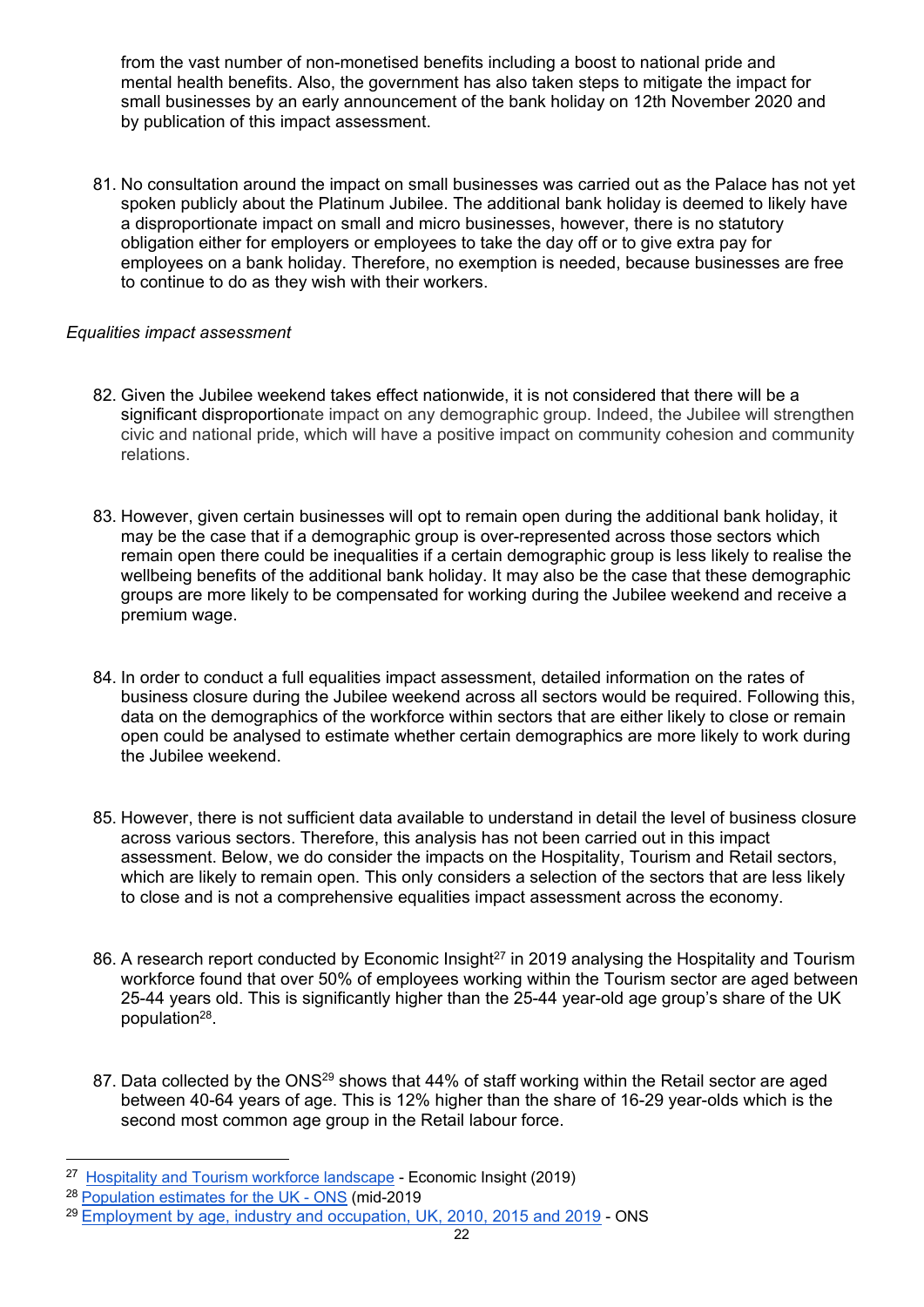from the vast number of non-monetised benefits including a boost to national pride and mental health benefits. Also, the government has also taken steps to mitigate the impact for small businesses by an early announcement of the bank holiday on 12th November 2020 and by publication of this impact assessment.

81. No consultation around the impact on small businesses was carried out as the Palace has not yet spoken publicly about the Platinum Jubilee. The additional bank holiday is deemed to likely have a disproportionate impact on small and micro businesses, however, there is no statutory obligation either for employers or employees to take the day off or to give extra pay for employees on a bank holiday. Therefore, no exemption is needed, because businesses are free to continue to do as they wish with their workers.

## *Equalities impact a[ssessment](https://www.equalityhumanrights.com/sites/default/files/technical_guidance_on_the_psed_england.pdf)*

- 82. Given the Jubilee weekend takes effect nationwide, it is not considered that there will be a significant disproportionate impact on any demographic group. Indeed, the Jubilee will strengthen civic and national pride, which will have a positive impact on community cohesion and community relations.
- 83. However, given certain businesses will opt to remain open during the additional bank holiday, it may be the case that if a demographic group is over-represented across those sectors which remain open there could be inequalities if a certain demographic group is less likely to realise the wellbeing benefits of the additional bank holiday. It may also be the case that these demographic groups are more likely to be compensated for working during the Jubilee weekend and receive a premium wage.
- 84. In order to conduct a full equalities impact assessment, detailed information on the rates of business closure during the Jubilee weekend across all sectors would be required. Following this, data on the demographics of the workforce within sectors that are either likely to close or remain open could be analysed to estimate whether certain demographics are more likely to work during the Jubilee weekend.
- 85. However, there is not sufficient data available to understand in detail the level of business closure across various sectors. Therefore, this analysis has not been carried out in this impact assessment. Below, we do consider the impacts on the Hospitality, Tourism and Retail sectors, which are likely to remain open. This only considers a selection of the sectors that are less likely to close and is not a comprehensive equalities impact assessment across the economy.
- 86. A research report conducted by Economic Insight<sup>[27](#page-21-0)</sup> in 2019 analysing the Hospitality and Tourism workforce found that over 50% of employees working within the Tourism sector are aged between 25-44 years old. This is significantly higher than the 25-44 year-old age group's share of the UK population<sup>[28](#page-21-1)</sup>.
- 87. Data collected by the ONS<sup>[29](#page-21-2)</sup> shows that 44% of staff working within the Retail sector are aged between 40-64 years of age. This is 12% higher than the share of 16-29 year-olds which is the second most common age group in the Retail labour force.

<span id="page-21-0"></span><sup>&</sup>lt;sup>27</sup> [Hospitality and Tourism workforce landscape](https://assets.publishing.service.gov.uk/government/uploads/system/uploads/attachment_data/file/827952/Hospitality_and_Tourism_Workforce_Landscape.pdf) - Economic Insight (2019)

<span id="page-21-1"></span><sup>28</sup> [Population estimates for the UK - ONS](https://www.ons.gov.uk/peoplepopulationandcommunity/populationandmigration/populationestimates/bulletins/annualmidyearpopulationestimates/mid2019estimates#ageing) (mid-2019

<span id="page-21-2"></span><sup>29</sup> [Employment by age, industry and occupation, UK, 2010, 2015 and 2019](https://www.ons.gov.uk/employmentandlabourmarket/peopleinwork/employmentandemployeetypes/adhocs/12467employmentbyageindustryandoccupationuk20102015and2019) - ONS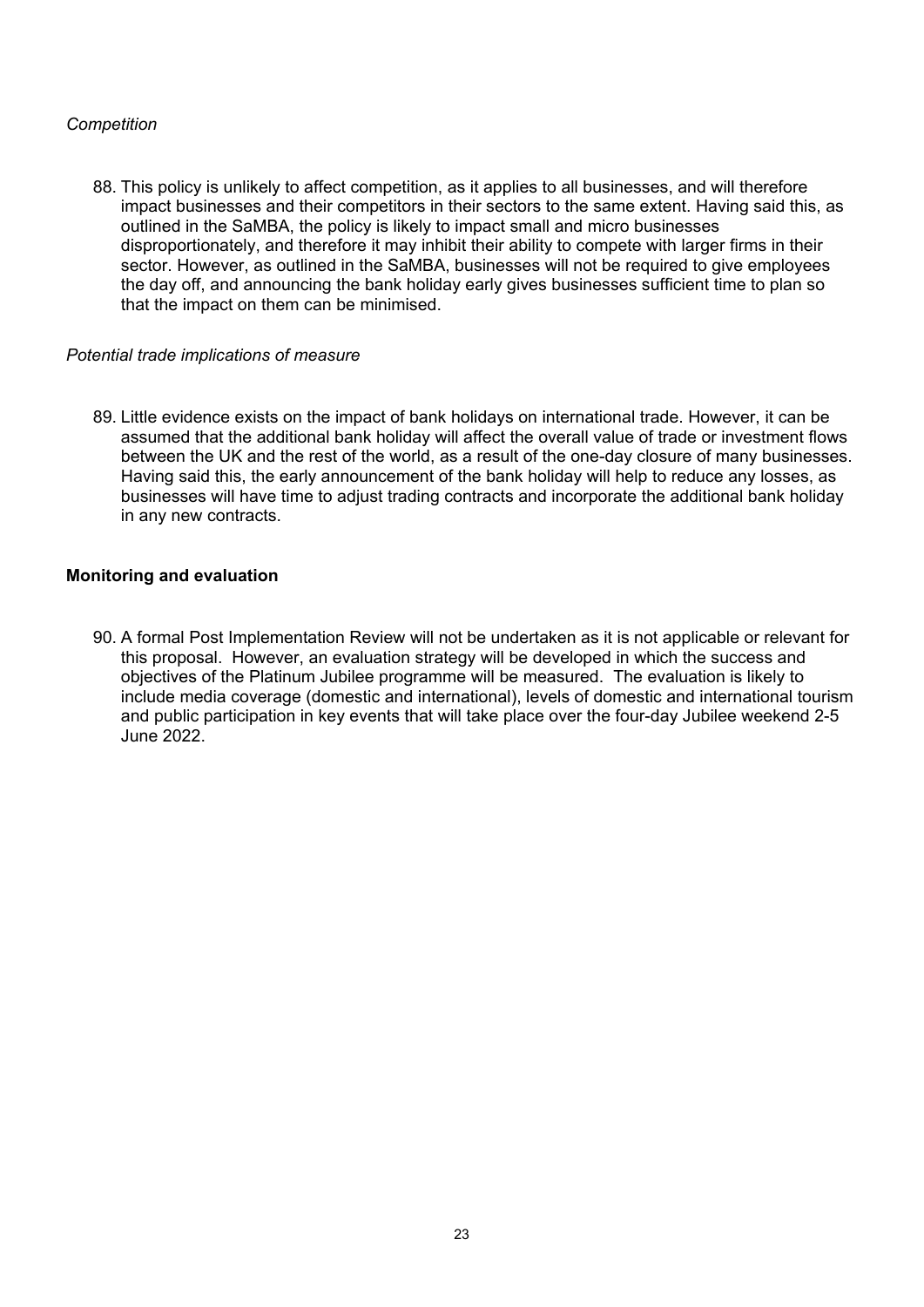## *Competition*

88. This policy is unlikely to affect competition, as it applies to all businesses, and will therefore impact businesses and their competitors in their sectors to the same extent. Having said this, as outlined in the SaMBA, the policy is likely to impact small and micro businesses disproportionately, and therefore it may inhibit their ability to compete with larger firms in their sector. However, as outlined in the SaMBA, businesses will not be required to give employees the day off, and announcing the bank holiday early gives businesses sufficient time to plan so that the impact on them can be minimised.

#### *Potential trade implications of measure*

89. Little evidence exists on the impact of bank holidays on international trade. However, it can be assumed that the additional bank holiday will affect the overall value of trade or investment flows between the UK and the rest of the world, as a result of the one-day closure of many businesses. Having said this, the early announcement of the bank holiday will help to reduce any losses, as businesses will have time to adjust trading contracts and incorporate the additional bank holiday in any new contracts.

#### **Monitoring and evaluation**

90. A formal Post Implementation Review will not be undertaken as it is not applicable or relevant for this proposal. However, an evaluation strategy will be developed in which the success and objectives of the Platinum Jubilee programme will be measured. The evaluation is likely to include media coverage (domestic and international), levels of domestic and international tourism and public participation in key events that will take place over the four-day Jubilee weekend 2-5 June 2022.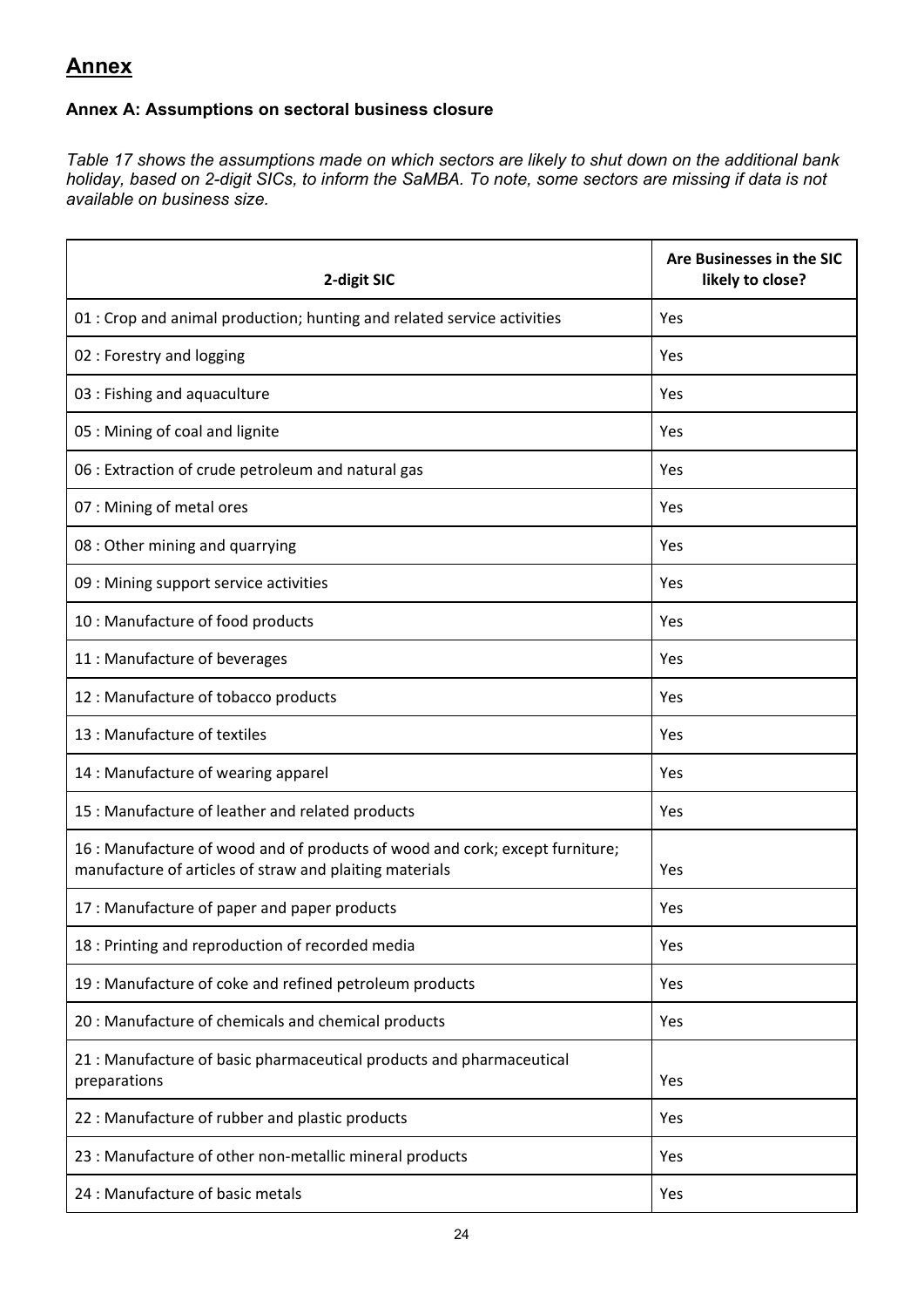# **Annex**

# **Annex A: Assumptions on sectoral business closure**

*Table 17 shows the assumptions made on which sectors are likely to shut down on the additional bank holiday, based on 2-digit SICs, to inform the SaMBA. To note, some sectors are missing if data is not available on business size.*

| 2-digit SIC                                                                                                                             | Are Businesses in the SIC<br>likely to close? |
|-----------------------------------------------------------------------------------------------------------------------------------------|-----------------------------------------------|
| 01 : Crop and animal production; hunting and related service activities                                                                 | Yes                                           |
| 02 : Forestry and logging                                                                                                               | Yes                                           |
| 03 : Fishing and aquaculture                                                                                                            | Yes                                           |
| 05 : Mining of coal and lignite                                                                                                         | Yes                                           |
| 06 : Extraction of crude petroleum and natural gas                                                                                      | Yes                                           |
| 07 : Mining of metal ores                                                                                                               | Yes                                           |
| 08 : Other mining and quarrying                                                                                                         | Yes                                           |
| 09 : Mining support service activities                                                                                                  | Yes                                           |
| 10 : Manufacture of food products                                                                                                       | Yes                                           |
| 11 : Manufacture of beverages                                                                                                           | Yes                                           |
| 12 : Manufacture of tobacco products                                                                                                    | Yes                                           |
| 13 : Manufacture of textiles                                                                                                            | Yes                                           |
| 14 : Manufacture of wearing apparel                                                                                                     | Yes                                           |
| 15 : Manufacture of leather and related products                                                                                        | Yes                                           |
| 16 : Manufacture of wood and of products of wood and cork; except furniture;<br>manufacture of articles of straw and plaiting materials | Yes                                           |
| 17 : Manufacture of paper and paper products                                                                                            | Yes                                           |
| 18 : Printing and reproduction of recorded media                                                                                        | Yes                                           |
| 19 : Manufacture of coke and refined petroleum products                                                                                 | Yes                                           |
| 20 : Manufacture of chemicals and chemical products                                                                                     | Yes                                           |
| 21 : Manufacture of basic pharmaceutical products and pharmaceutical<br>preparations                                                    | Yes                                           |
| 22 : Manufacture of rubber and plastic products                                                                                         | Yes                                           |
| 23 : Manufacture of other non-metallic mineral products                                                                                 | Yes                                           |
| 24 : Manufacture of basic metals                                                                                                        | Yes                                           |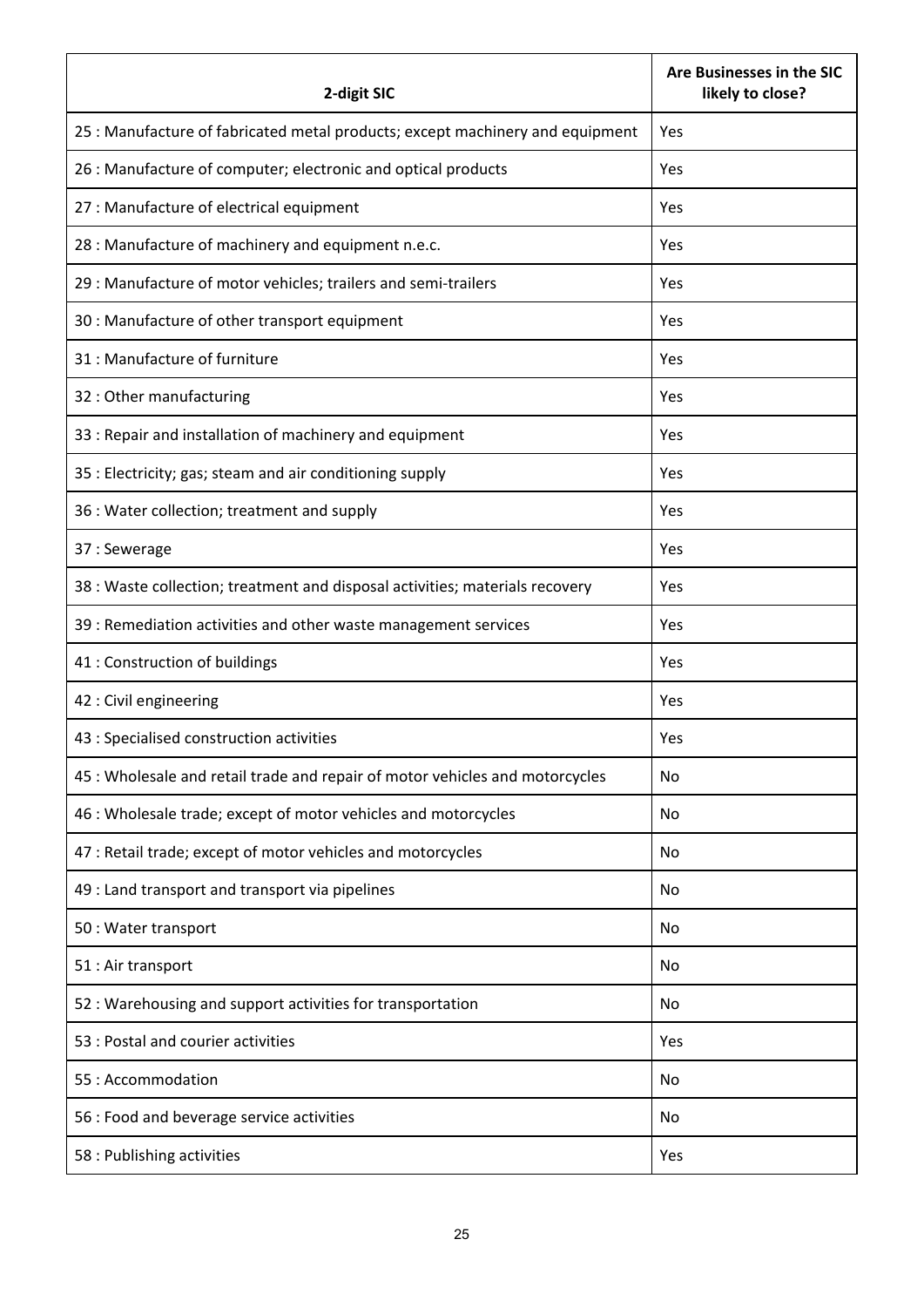| 2-digit SIC                                                                   | Are Businesses in the SIC<br>likely to close? |
|-------------------------------------------------------------------------------|-----------------------------------------------|
| 25 : Manufacture of fabricated metal products; except machinery and equipment | Yes                                           |
| 26 : Manufacture of computer; electronic and optical products                 | Yes                                           |
| 27 : Manufacture of electrical equipment                                      | Yes                                           |
| 28 : Manufacture of machinery and equipment n.e.c.                            | Yes                                           |
| 29 : Manufacture of motor vehicles; trailers and semi-trailers                | Yes                                           |
| 30 : Manufacture of other transport equipment                                 | Yes                                           |
| 31 : Manufacture of furniture                                                 | Yes                                           |
| 32 : Other manufacturing                                                      | Yes                                           |
| 33 : Repair and installation of machinery and equipment                       | Yes                                           |
| 35 : Electricity; gas; steam and air conditioning supply                      | Yes                                           |
| 36 : Water collection; treatment and supply                                   | Yes                                           |
| 37: Sewerage                                                                  | Yes                                           |
| 38 : Waste collection; treatment and disposal activities; materials recovery  | Yes                                           |
| 39 : Remediation activities and other waste management services               | Yes                                           |
| 41 : Construction of buildings                                                | Yes                                           |
| 42 : Civil engineering                                                        | Yes                                           |
| 43 : Specialised construction activities                                      | Yes                                           |
| 45 : Wholesale and retail trade and repair of motor vehicles and motorcycles  | No                                            |
| 46 : Wholesale trade; except of motor vehicles and motorcycles                | No                                            |
| 47 : Retail trade; except of motor vehicles and motorcycles                   | No                                            |
| 49 : Land transport and transport via pipelines                               | No                                            |
| 50 : Water transport                                                          | No                                            |
| 51 : Air transport                                                            | No                                            |
| 52 : Warehousing and support activities for transportation                    | No                                            |
| 53 : Postal and courier activities                                            | Yes                                           |
| 55: Accommodation                                                             | No                                            |
| 56 : Food and beverage service activities                                     | No                                            |
| 58 : Publishing activities                                                    | Yes                                           |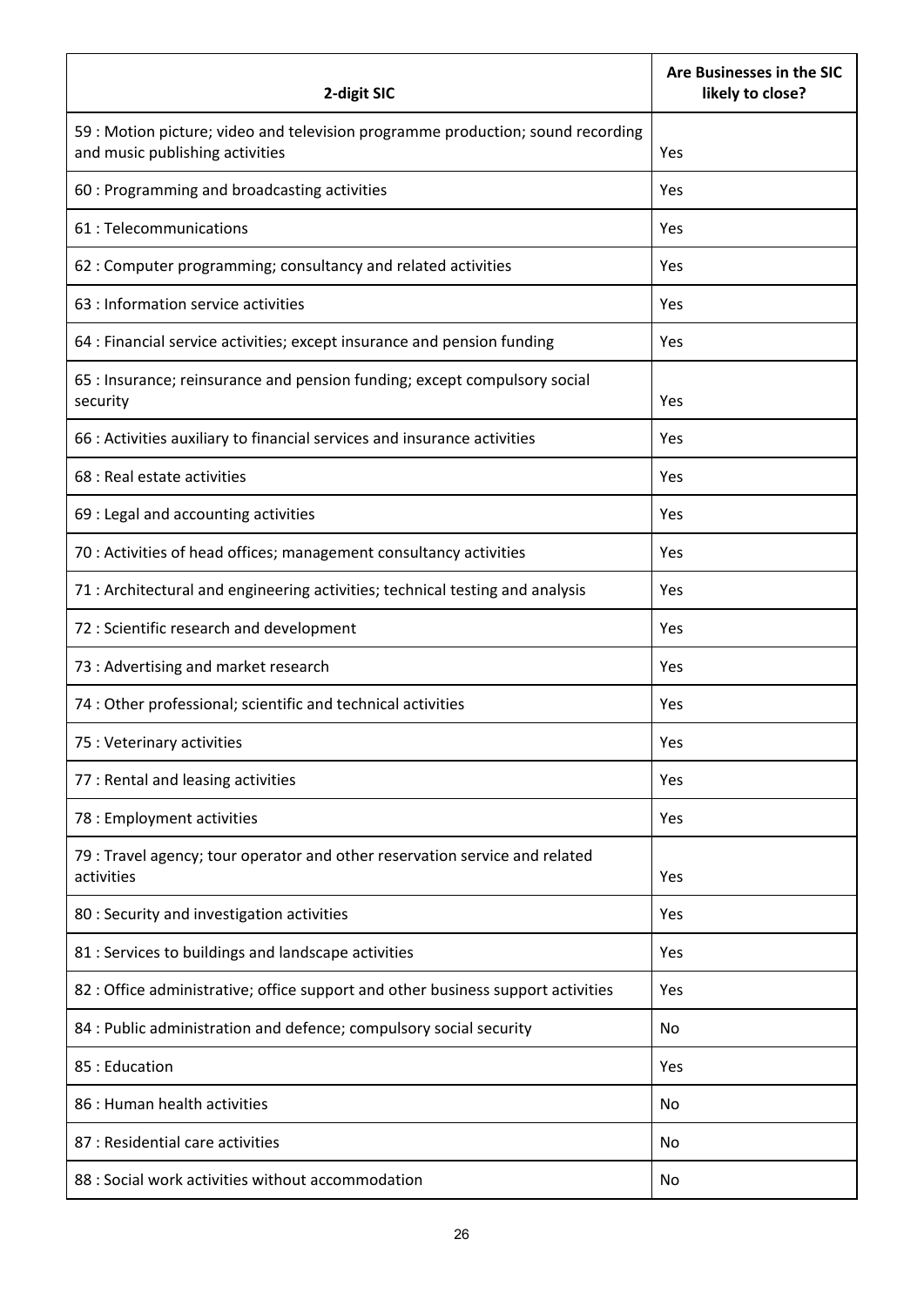| 2-digit SIC                                                                                                        | Are Businesses in the SIC<br>likely to close? |
|--------------------------------------------------------------------------------------------------------------------|-----------------------------------------------|
| 59 : Motion picture; video and television programme production; sound recording<br>and music publishing activities | Yes                                           |
| 60 : Programming and broadcasting activities                                                                       | Yes                                           |
| 61 : Telecommunications                                                                                            | Yes                                           |
| 62 : Computer programming; consultancy and related activities                                                      | Yes                                           |
| 63 : Information service activities                                                                                | Yes                                           |
| 64 : Financial service activities; except insurance and pension funding                                            | Yes                                           |
| 65 : Insurance; reinsurance and pension funding; except compulsory social<br>security                              | Yes                                           |
| 66 : Activities auxiliary to financial services and insurance activities                                           | Yes                                           |
| 68 : Real estate activities                                                                                        | Yes                                           |
| 69 : Legal and accounting activities                                                                               | Yes                                           |
| 70 : Activities of head offices; management consultancy activities                                                 | Yes                                           |
| 71 : Architectural and engineering activities; technical testing and analysis                                      | Yes                                           |
| 72 : Scientific research and development                                                                           | Yes                                           |
| 73 : Advertising and market research                                                                               | Yes                                           |
| 74 : Other professional; scientific and technical activities                                                       | Yes                                           |
| 75 : Veterinary activities                                                                                         | Yes                                           |
| 77 : Rental and leasing activities                                                                                 | Yes                                           |
| 78 : Employment activities                                                                                         | Yes                                           |
| 79 : Travel agency; tour operator and other reservation service and related<br>activities                          | Yes                                           |
| 80 : Security and investigation activities                                                                         | Yes                                           |
| 81 : Services to buildings and landscape activities                                                                | Yes                                           |
| 82 : Office administrative; office support and other business support activities                                   | Yes                                           |
| 84 : Public administration and defence; compulsory social security                                                 | No                                            |
| 85: Education                                                                                                      | Yes                                           |
| 86 : Human health activities                                                                                       | No                                            |
| 87 : Residential care activities                                                                                   | No                                            |
| 88 : Social work activities without accommodation                                                                  | No                                            |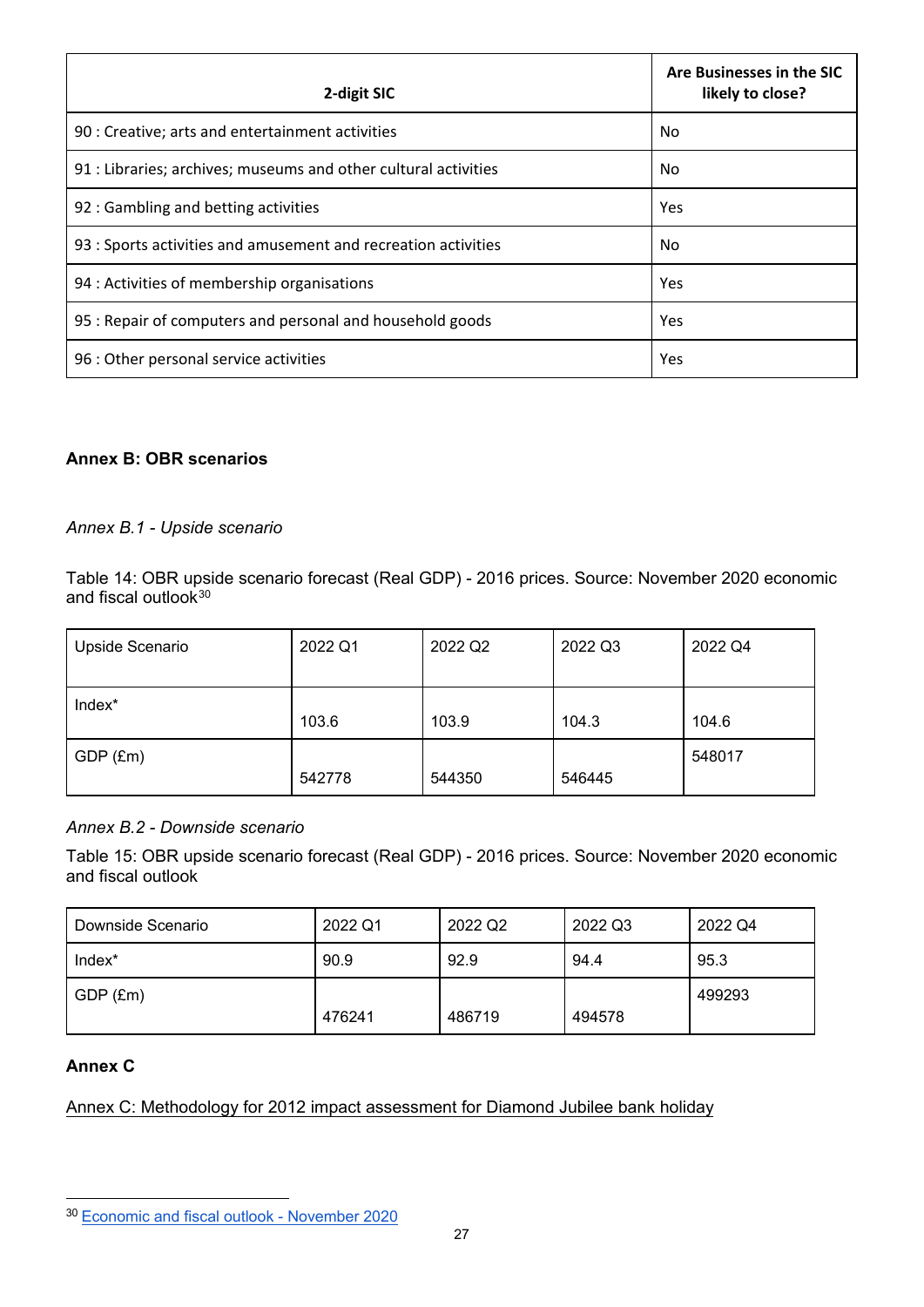| 2-digit SIC                                                     | Are Businesses in the SIC<br>likely to close? |
|-----------------------------------------------------------------|-----------------------------------------------|
| 90 : Creative; arts and entertainment activities                | No                                            |
| 91 : Libraries; archives; museums and other cultural activities | No                                            |
| 92 : Gambling and betting activities                            | Yes                                           |
| 93 : Sports activities and amusement and recreation activities  | No                                            |
| 94 : Activities of membership organisations                     | Yes                                           |
| 95 : Repair of computers and personal and household goods       | Yes                                           |
| 96 : Other personal service activities                          | Yes                                           |

# **Annex B: OBR scenarios**

## *Annex B.1 - Upside scenario*

Table 14: OBR upside scenario forecast (Real GDP) - 2016 prices. Source: November 2020 economic and fiscal outlook $^{\rm 30}$  $^{\rm 30}$  $^{\rm 30}$ 

| Upside Scenario | 2022 Q1 | 2022 Q2 | 2022 Q3 | 2022 Q4 |
|-----------------|---------|---------|---------|---------|
| Index*          | 103.6   | 103.9   | 104.3   | 104.6   |
| GDP (£m)        | 542778  | 544350  | 546445  | 548017  |

## *Annex B.2 - Downside scenario*

Table 15: OBR upside scenario forecast (Real GDP) - 2016 prices. Source: November 2020 economic and fiscal outlook

| Downside Scenario | 2022 Q1 | 2022 Q2 | 2022 Q3 | 2022 Q4 |
|-------------------|---------|---------|---------|---------|
| Index*            | 90.9    | 92.9    | 94.4    | 95.3    |
| GDP (£m)          | 476241  | 486719  | 494578  | 499293  |

# **Annex C**

Annex C: Methodology for 2012 impact assessment for Diamond Jubilee bank holiday

<span id="page-26-0"></span><sup>30</sup> [Economic and fiscal outlook - November 2020](http://cdn.obr.uk/CCS1020397650-001_OBR-November2020-EFO-v2-Web-accessible.pdf)